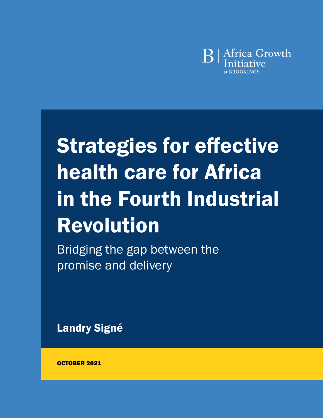

# Strategies for effective health care for Africa in the Fourth Industrial Revolution

Bridging the gap between the promise and delivery

[Landry Signé](https://www.brookings.edu/experts/landry-signe/)

OCTOBER 2021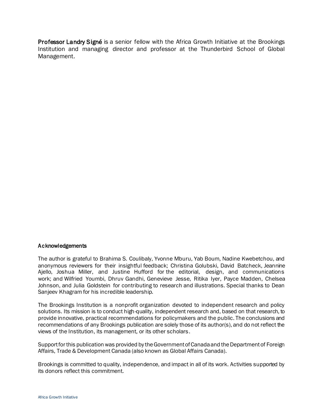Professor Landry Signé is a senior fellow with the Africa Growth Initiative at the Brookings Institution and managing director and professor at the Thunderbird School of Global Management.

#### Acknowledgements

The author is grateful to Brahima S. Coulibaly, Yvonne Mburu, Yab Boum, Nadine Kwebetchou, and anonymous reviewers for their insightful feedback; Christina Golubski, David Batcheck, Jeannine Ajello, Joshua Miller, and Justine Hufford for the editorial, design, and communications work; and Wilfried Youmbi, Dhruv Gandhi, Genevieve Jesse, Ritika Iyer, Payce Madden, Chelsea Johnson, and Julia Goldstein for contributing to research and illustrations. Special thanks to Dean Sanjeev Khagram for his incredible leadership.

The Brookings Institution is a nonprofit organization devoted to independent research and policy solutions. Its mission is to conduct high-quality, independent research and, based on that research, to provide innovative, practical recommendations for policymakers and the public. The conclusions and recommendations of any Brookings publication are solely those of its author(s), and do not reflect the views of the Institution, its management, or its other scholars.

Support for this publication was provided by the Government of Canada and the Department of Foreign Affairs, Trade & Development Canada (also known as Global Affairs Canada).

Brookings is committed to quality, independence, and impact in all of its work. Activities supported by its donors reflect this commitment.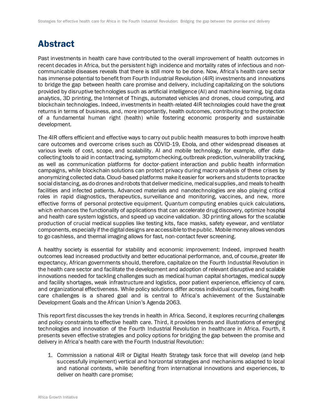## Abstract

Past investments in health care have contributed to the overall improvement of health outcomes in recent decades in Africa, but the persistent high incidence and mortality rates of infectious and noncommunicable diseases reveals that there is still more to be done. Now, Africa's health care sector has immense potential to benefit from Fourth Industrial Revolution (4IR) investments and innovations to bridge the gap between health care promise and delivery, including capitalizing on the solutions provided by disruptive technologies such as artificial intelligence (AI) and machine learning, big data analytics, 3D printing, the Internet of Things, automated vehicles and drones, cloud computing, and blockchain technologies. Indeed, investments in health-related 4IR technologies could have the great returns in terms of business, and, more importantly, health outcomes, contributing to the protection of a fundamental human right (health) while fostering economic prosperity and sustainable development.

The 4IR offers efficient and effective ways to carry out public health measures to both improve health care outcomes and overcome crises such as COVID-19, Ebola, and other widespread diseases at various levels of cost, scope, and scalability. AI and mobile technology, for example, offer datacollecting tools to aid in contact tracing, symptom checking, outbreak prediction, vulnerability tracking, as well as communication platforms for doctor-patient interaction and public health information campaigns, while blockchain solutions can protect privacy during macro analysis of these crises by anonymizing collected data. Cloud-based platforms make it easier for workers and students to practice social distancing, as do drones and robots that deliver medicine, medical supplies, and meals to health facilities and infected patients. Advanced materials and nanotechnologies are also playing critical roles in rapid diagnostics, therapeutics, surveillance and monitoring, vaccines, and new, more effective forms of personal protective equipment. Quantum computing enables quick calculations, which enhances the functionality of applications that can accelerate drug discovery, optimize hospital and health care system logistics, and speed up vaccine validation. 3D printing allows for the scalable production of crucial medical supplies like testing kits, face masks, safety eyewear, and ventilator components, especially if the digital designs are accessible to the public. Mobile money allows vendors to go cashless, and thermal imaging allows for fast, non-contact fever screening.

A healthy society is essential for stability and economic improvement: Indeed, improved health outcomes lead increased productivity and better educational performance, and, of course, greater life expectancy, African governments should, therefore, capitalize on the Fourth Industrial Revolution in the health care sector and facilitate the development and adoption of relevant disruptive and scalable innovations needed for tackling challenges such as medical human capital shortages, medical supply and facility shortages, weak infrastructure and logistics, poor patient experience, efficiency of care, and organizational effectiveness. While policy solutions differ across individual countries, fixing health care challenges is a shared goal and is central to Africa's achievement of the Sustainable Development Goals and the African Union's Agenda 2063.

This report first discusses the key trends in health in Africa. Second, it explores recurring challenges and policy constraints to effective health care. Third, it provides trends and illustrations of emerging technologies and innovation of the Fourth Industrial Revolution in healthcare in Africa. Fourth, it presents seven effective strategies and policy options for bridging the gap between the promise and delivery in Africa's health care with the Fourth Industrial Revolution:

1. Commission a national 4IR or Digital Health Strategy task force that will develop (and help successfully implement) vertical and horizontal strategies and mechanisms adapted to local and national contexts, while benefiting from international innovations and experiences, to deliver on health care promise;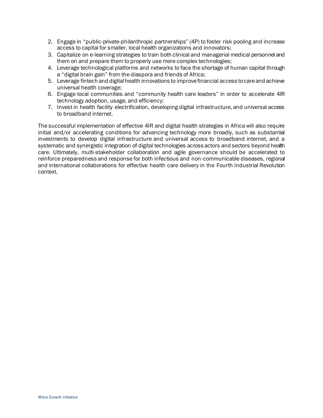- 2. Engage in "public-private-philanthropic partnerships" (4P) to foster risk pooling and increase access to capital for smaller, local health organizations and innovators;
- 3. Capitalize on e-learning strategies to train both clinical and managerial medical personnel and them on and prepare them to properly use more complex technologies;
- 4. Leverage technological platforms and networks to face the shortage of human capital through a "digital brain gain" from the diaspora and friends of Africa;
- 5. Leverage fintech and digital health innovations to improve financial access to care and achieve universal health coverage;
- 6. Engage local communities and "community health care leaders" in order to accelerate 4IR technology adoption, usage, and efficiency;
- 7. Invest in health facility electrification, developing digital infrastructure, and universal access to broadband internet.

The successful implementation of effective 4IR and digital health strategies in Africa will also require initial and/or accelerating conditions for advancing technology more broadly, such as substantial investments to develop digital infrastructure and universal access to broadband internet, and a systematic and synergistic integration of digital technologies across actors and sectors beyond health care. Ultimately, multi-stakeholder collaboration and agile governance should be accelerated to reinforce preparedness and response for both infectious and non-communicable diseases, regional and international collaborations for effective health care delivery in the Fourth Industrial Revolution context.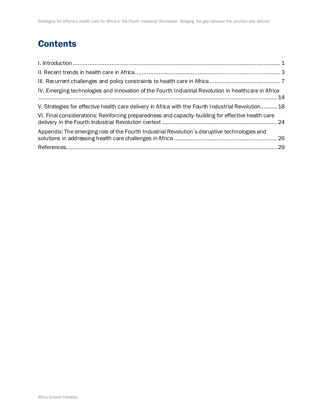# **Contents**

| IV. Emerging technologies and innovation of the Fourth Industrial Revolution in healthcare in Africa |  |
|------------------------------------------------------------------------------------------------------|--|
| V. Strategies for effective health care delivery in Africa with the Fourth Industrial Revolution 18  |  |
| VI. Final considerations: Reinforcing preparedness and capacity-building for effective health care   |  |
| Appendix: The emerging role of the Fourth Industrial Revolution's disruptive technologies and        |  |
|                                                                                                      |  |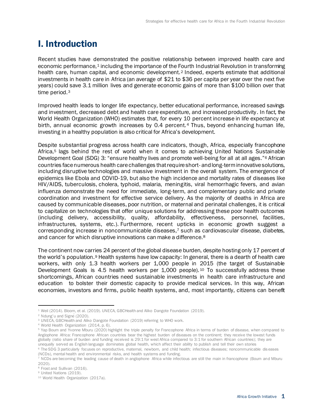## <span id="page-5-0"></span>I. Introduction

Recent studies have demonstrated the positive relationship between improved health care and economic performance,<sup>1</sup> including the importance of the Fourth Industrial Revolution in transforming health care, human capital, and economic development.<sup>2</sup> Indeed, experts estimate that additional investments in health care in Africa (an average of \$21 to \$36 per capita per year over the next five years) could save 3.1 million lives and generate economic gains of more than \$100 billion over that time period.<sup>3</sup>

Improved health leads to longer life expectancy, better educational performance, increased savings and investment, decreased debt and health care expenditure, and increased productivity. In fact, the World Health Organization (WHO) estimates that, for every 10 percent increase in life expectancy at birth, annual economic growth increases by 0.4 percent. <sup>4</sup> Thus, beyond enhancing human life, investing in a healthy population is also critical for Africa's development.

Despite substantial progress across health care indicators, though, Africa, especially francophone Africa, <sup>5</sup> lags behind the rest of world when it comes to achieving United Nations Sustainable Development Goal (SDG) 3: "ensure healthy lives and promote well-being for all at all ages."<sup>6</sup> African countries face numerous health care challenges that require short- and long-term innovative solutions, including disruptive technologies and massive investment in the overall system. The emergence of epidemics like Ebola and COVID-19, but also the high incidence and mortality rates of diseases like HIV/AIDS, tuberculosis, cholera, typhoid, malaria, meningitis, viral hemorrhagic fevers, and avian influenza demonstrate the need for immediate, long-term, and complementary public and private coordination and investment for effective service delivery. As the majority of deaths in Africa are caused by communicable diseases, poor nutrition, or maternal and perinatal challenges, it is critical to capitalize on technologies that offer unique solutions for addressing these poor health outcomes (including delivery, accessibility, quality, affordability, effectiveness, personnel, facilities, infrastructures, systems, etc.). Furthermore, recent upticks in economic growth suggest a corresponding increase in noncommunicable diseases,<sup>7</sup> such as cardiovascular disease, diabetes, and cancer for which disruptive innovations can make a difference.<sup>8</sup>

The continent now carries 24 percent of the global disease burden, despite hosting only 17 percent of the world's population.<sup>9</sup> Health systems have low capacity: In general, there is a dearth of health care workers, with only 1.3 health workers per 1,000 people in 2015 (the target of Sustainable Development Goals is 4.5 health workers per 1,000 people). <sup>10</sup> To successfully address these shortcomings, African countries need sustainable investments in health care infrastructure and education to bolster their domestic capacity to provide medical services. In this way, African economies, investors and firms, public health systems, and, most importantly, citizens can benefit

<sup>1</sup> Weil (2014). Bloom, et al. (2019). UNECA, GBCHealth and Aliko Dangote Foundation (2019).

<sup>&</sup>lt;sup>2</sup> Ndung'u and Signe<sup> $(2020)$ .</sup>

<sup>&</sup>lt;sup>3</sup> UNECA, GBCHealth and Aliko Dangote Foundation (2019) referring to WHO work.

<sup>4</sup> World Health Organization (2014, p. 6).

<sup>5</sup> Yap Boum and Yvonne Mburu (2020) highlight the triple penalty for Francophone Africa in terms of burden of disease, when compared to Anglophone Africa: Francophone African countries bear the highest burden of diseases on the continent; they receive the lowest funds globally (ratio share of burden and funding received is 29:1 for west Africa compared to 3:1 for southern African countries); they are unequally served as English language dominates global health, which affect their ability to publish and tell their own stories <sup>6</sup> The SDG 3 particularly focuses on reproductive, maternal, newborn, and child health; infectious diseases; noncommunicable diseases

<sup>(</sup>NCDs), mental health and environmental risks, and health systems and funding.

<sup>7</sup> NCDs are becoming the leading cause of death in anglophone Africa while infectious are still the main in francophone (Boum and Mburu 2020).

<sup>&</sup>lt;sup>8</sup> Frost and Sullivan (2016).

<sup>&</sup>lt;sup>9</sup> United Nations (2019).

<sup>&</sup>lt;sup>10</sup> World Health Organization (2017a).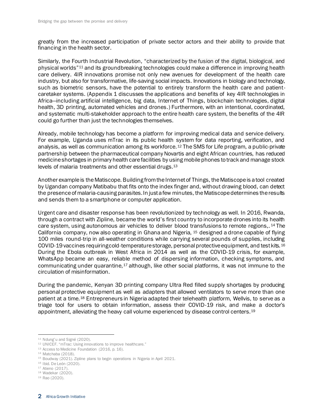greatly from the increased participation of private sector actors and their ability to provide that financing in the health sector.

Similarly, the Fourth Industrial Revolution, "characterized by the fusion of the digital, biological, and physical worlds"<sup>11</sup> and its groundbreaking technologies could make a difference in improving health care delivery. 4IR innovations promise not only new avenues for development of the health care industry, but also for transformative, life-saving social impacts. Innovations in biology and technology, such as biometric sensors, have the potential to entirely transform the health care and patientcaretaker systems. (Appendix 1 discusses the applications and benefits of key 4IR technologies in Africa—including artificial intelligence, big data, Internet of Things, blockchain technologies, digital health, 3D printing, automated vehicles and drones.) Furthermore, with an intentional, coordinated, and systematic multi-stakeholder approach to the entire health care system, the benefits of the 4IR could go further than just the technologies themselves.

Already, mobile technology has become a platform for improving medical data and service delivery. For example, Uganda uses mTrac in its public health system for data reporting, verification, and analysis, as well as communication among its workforce.<sup>12</sup> The SMS for Life program, a public-private partnership between the pharmaceutical company Novartis and eight African countries, has reduced medicine shortages in primary health care facilities by using mobile phones to track and manage stock levels of malaria treatments and other essential drugs.<sup>13</sup>

Another example is the Matiscope. Building from the Internet of Things, the Matiscope is a tool created by Ugandan company Matibabu that fits onto the index finger and, without drawing blood, can detect the presence of malaria-causing parasites. In just a few minutes, the Matiscope determines the results and sends them to a smartphone or computer application.

Urgent care and disaster response has been revolutionized by technology as well. In 2016, Rwanda, through a contract with Zipline, became the world's first country to incorporate drones into its health care system, using autonomous air vehicles to deliver blood transfusions to remote regions,. <sup>14</sup> The California company, now also operating in Ghana and Nigeria, <sup>15</sup> designed a drone capable of flying 100 miles round-trip in all-weather conditions while carrying several pounds of supplies, including COVID-19 vaccines requiring cold-temperature storage, personal protective equipment, and test kits.<sup>16</sup> During the Ebola outbreak in West Africa in 2014 as well as the COVID-19 crisis, for example, WhatsApp became an easy, reliable method of dispersing information, checking symptoms, and communicating under quarantine, $17$  although, like other social platforms, it was not immune to the circulation of misinformation.

During the pandemic, Kenyan 3D printing company Ultra Red filled supply shortages by producing personal protective equipment as well as adapters that allowed ventilators to serve more than one patient at a time.<sup>18</sup> Entrepreneurs in Nigeria adapted their telehealth platform, Wellvis, to serve as a triage tool for users to obtain information, assess their COVID-19 risk, and make a doctor's appointment, alleviating the heavy call volume experienced by disease control centers.<sup>19</sup>

<sup>11</sup> Ndung'u and Signé (2020).

<sup>&</sup>lt;sup>12</sup> UNICEF. "mTrac: Using innovations to improve healthcare."

<sup>&</sup>lt;sup>13</sup> Access to Medicine Foundation (2016, p. 16).

<sup>14</sup> Matchaba (2018).

<sup>15</sup> Boudway (2021). Zipline plans to begin operations in Nigeria in April 2021.

<sup>16</sup> Ibid. De León (2020).

<sup>&</sup>lt;sup>17</sup> Atieno (2017).

<sup>18</sup> Wadekar (2020).

<sup>19</sup> Rao (2020).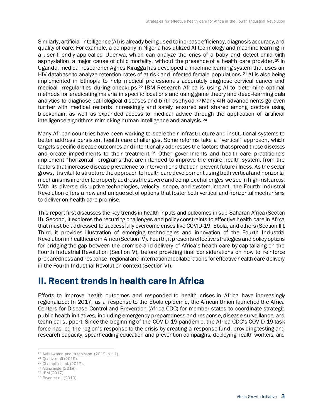Similarly, artificial intelligence (AI) is already being used to increase efficiency, diagnosis accuracy, and quality of care: For example, a company in Nigeria has utilized AI technology and machine learning in a user-friendly app called Ubenwa, which can analyze the cries of a baby and detect child-birth asphyxiation, a major cause of child mortality, without the presence of a health care provider. 20 In Uganda, medical researcher Agnes Kiragga has developed a machine learning system that uses an HIV database to analyze retention rates of at-risk and infected female populations.<sup>21</sup> AI is also being implemented in Ethiopia to help medical professionals accurately diagnose cervical cancer and medical irregularities during checkups.<sup>22</sup> IBM Research Africa is using AI to determine optimal methods for eradicating malaria in specific locations and using game theory and deep-learning data analytics to diagnose pathological diseases and birth asphyxia. <sup>23</sup> Many 4IR advancements go even further with medical records increasingly and safely ensured and shared among doctors using blockchain, as well as expanded access to medical advice through the application of artificial intelligence algorithms mimicking human intelligence and analysis.<sup>24</sup>

Many African countries have been working to scale their infrastructure and institutional systems to better address persistent health care challenges. Some reforms take a "vertical" approach, which targets specific disease outcomes and intentionally addresses the factors that spread those diseases and create impediments to their treatment.<sup>25</sup> Other governments and health care practitioners implement "horizontal" programs that are intended to improve the entire health system, from the factors that increase disease prevalence to interventions that can prevent future illness. As the sector grows, it is vital to structure the approach to health care development using both vertical and horizontal mechanisms in order to properly address the severe and complex challenges we see in high-risk areas. With its diverse disruptive technologies, velocity, scope, and system impact, the Fourth Industrial Revolution offers a new and unique set of options that foster both vertical and horizontal mechanisms to deliver on health care promise.

This report first discusses the key trends in health inputs and outcomes in sub-Saharan Africa (Section II). Second, it explores the recurring challenges and policy constraints to effective health care in Africa that must be addressed to successfully overcome crises like COVID-19, Ebola, and others (Section III). Third, it provides illustration of emerging technologies and innovation of the Fourth Industrial Revolution in healthcare in Africa (Section IV). Fourth, it presents effective strategies and policy options for bridging the gap between the promise and delivery of Africa's health care by capitalizing on the Fourth Industrial Revolution (Section V), before providing final considerations on how to reinforce preparedness and response, regional and international collaborations for effective health care delivery in the Fourth Industrial Revolution context (Section VI).

## <span id="page-7-0"></span>II. Recent trends in health care in Africa

Efforts to improve health outcomes and responded to health crises in Africa have increasingly regionalized: In 2017, as a response to the Ebola epidemic, the African Union launched the Africa Centers for Disease Control and Prevention (Africa CDC) for member states to coordinate strategic public health initiatives, including emergency preparedness and response, disease surveillance, and technical support. Since the beginning of the COVID-19 pandemic, the Africa CDC's COVID-19 task force has led the region's response to the crisis by creating a response fund, providing testing and research capacity, spearheading education and prevention campaigns, deploying health workers, and

<sup>&</sup>lt;sup>20</sup> Akileswaran and Hutchinson (2019, p. 11).

<sup>21</sup> Quartz staff (2019).

<sup>22</sup> Champlin et al. (2017).

<sup>23</sup> Akinwande (2018).

<sup>24</sup> IBM (2017).

<sup>25</sup> Bryan et al. (2010).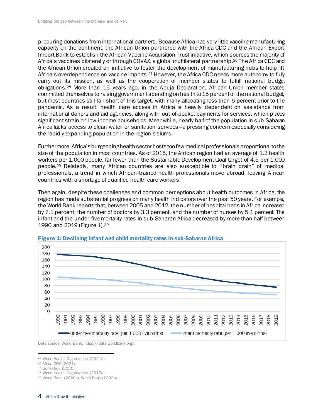procuring donations from international partners. Because Africa has very little vaccine manufacturing capacity on the continent, the African Union partnered with the Africa CDC and the African Export-Import Bank to establish the African Vaccine Acquisition Trust initiative, which sources the majority of Africa's vaccines bilaterally or through COVAX, a global multilateral partnership. <sup>26</sup> The Africa CDC and the African Union created an initiative to foster the development of manufacturing hubs to help lift Africa's overdependence on vaccine imports.<sup>27</sup> However, the Africa CDC needs more autonomy to fully carry out its mission, as well as the cooperation of member states to fulfill national budget obligations.<sup>28</sup> More than 15 years ago, in the Abuja Declaration, African Union member states committed themselves to raising government spending on health to 15 percent of the national budget, but most countries still fall short of this target, with many allocating less than 5 percent prior to the pandemic. As a result, health care access in Africa is heavily dependent on assistance from international donors and aid agencies, along with out-of-pocket payments for services, which places significant strain on low-income households. Meanwhile, nearly half of the population in sub-Saharan Africa lacks access to clean water or sanitation services—a pressing concern especially considering the rapidly expanding population in the region's slums.

Furthermore, Africa's burgeoning health sector hosts too few medical professionals proportional to the size of the population in most countries. As of 2015, the African region had an average of 1.3 health workers per 1,000 people, far fewer than the Sustainable Development Goal target of 4.5 per 1,000 people.<sup>29</sup> Relatedly, many African countries are also susceptible to "brain drain" of medical professionals, a trend in which African-trained health professionals move abroad, leaving African countries with a shortage of qualified health care workers.

Then again, despite these challenges and common perceptions about health outcomes in Africa, the region has made substantial progress on many health indicators over the past 50 years. For example, the World Bank reports that, between 2005 and 2012, the number of hospital beds in Africa increased by 7.1 percent, the number of doctors by 3.3 percent, and the number of nurses by 5.1 percent. The infant and the under-five mortality rates in sub-Saharan Africa decreased by more than half between 1990 and 2019 (Figure 1).<sup>30</sup>



#### Figure 1: Declining infant and child mortality rates in sub-Saharan Africa

Data source: World Bank: https://data.worldbank.org/.

<sup>26</sup> World Health Organization (2021e).

<sup>27</sup> Africa CDC (2021).

<sup>28</sup> Uche Ordu (2020).

<sup>29</sup> World Health Organization (2017a).

<sup>30</sup> World Bank (2020a). World Bank (2020b).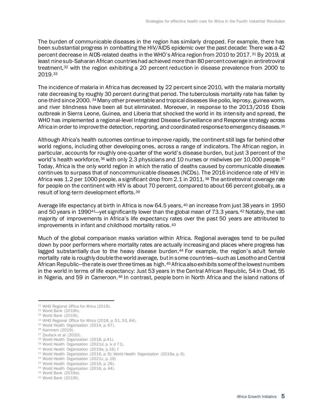The burden of communicable diseases in the region has similarly dropped. For example, there has been substantial progress in combatting the HIV/AIDS epidemic over the past decade: There was a 42 percent decrease in AIDS-related deaths in the WHO's Africa region from 2010 to 2017.<sup>31</sup> By 2019, at least ninesub-Saharan African countries had achieved more than 80 percent coverage in antiretroviral treatment,<sup>32</sup> with the region exhibiting a 20 percent reduction in disease prevalence from 2000 to 2019.<sup>33</sup>

The incidence of malaria in Africa has decreased by 22 percent since 2010, with the malaria mortality rate decreasing by roughly 30 percent during that period. The tuberculosis mortality rate has fallen by one-third since 2000. <sup>34</sup>Many other preventable and tropical diseases like polio, leprosy, guinea worm, and river blindness have been all but eliminated. Moreover, in response to the 2013/2016 Ebola outbreak in Sierra Leone, Guinea, and Liberia that shocked the world in its intensity and spread, the WHO has implemented a regional-level Integrated Disease Surveillance and Response strategy across Africa in order to improve the detection, reporting, and coordinated response to emergency diseases.<sup>35</sup>

Although Africa's health outcomes continue to improve rapidly, the continent still lags far behind other world regions, including other developing ones, across a range of indicators. The African region, in particular, accounts for roughly one-quarter of the world's disease burden, but just 3 percent of the world's health workforce, 36 with only 2.3 physicians and 10 nurses or midwives per 10,000 people. 37 Today, Africa is the only world region in which the ratio of deaths caused by communicable diseases continues to surpass that of noncommunicable diseases (NCDs). The 2016 incidence rate of HIV in Africa was 1.2 per 1000 people, a significant drop from 2.1 in 2011.<sup>38</sup> The antiretroviral coverage rate for people on the continent with HIV is about 70 percent, compared to about 66 percent globally, as a result of long-term development efforts.<sup>39</sup>

Average life expectancy at birth in Africa is now 64.5 years, <sup>40</sup> an increase from just 38 years in 1950 and 50 years in 1990<sup>41</sup>—yet significantly lower than the global mean of 73.3 years.<sup>42</sup> Notably, the vast majority of improvements in Africa's life expectancy rates over the past 50 years are attributed to improvements in infant and childhood mortality ratios.<sup>43</sup>

Much of the global comparison masks variation within Africa. Regional averages tend to be pulled down by poor performers where mortality rates are actually increasing and places where progress has lagged substantially due to the heavy disease burden.<sup>44</sup> For example, the region's adult female mortality rate is roughly double the world average, but in some countries—such as Lesotho and Central African Republic—the rate is over three times as high.<sup>45</sup> Africa also exhibits some of the lowest numbers in the world in terms of life expectancy: Just 53 years in the Central African Republic, 54 in Chad, 55 in Nigeria, and 59 in Cameroon.<sup>46</sup> In contrast, people born in North Africa and the island nations of

<sup>&</sup>lt;sup>31</sup> WHO Regional Office for Africa (2019).

<sup>32</sup> World Bank (2019h).

<sup>33</sup> World Bank (2019i).

<sup>34</sup> WHO Regional Office for Africa (2018, p. 51, 53, 64).

<sup>&</sup>lt;sup>35</sup> World Health Organization (2014, p. 67).

<sup>36</sup> Kamineni (2019).

<sup>&</sup>lt;sup>37</sup> Zeufack et al. (2020).

<sup>38</sup> World Health Organization (2018, p.41).

<sup>39</sup> World Health Organization (2021d, p. ix d 71).

<sup>40</sup> World Health Organization (2019a, p.16). f

<sup>41</sup> World Health Organization (2016, p. 9); World Health Organization (2019a, p. 6).

<sup>42</sup> World Health Organization (2021c, p. 16)

<sup>43</sup> World Health Organization (2016, p. 26).

<sup>44</sup> World Health Organization (2016, p. 44).

<sup>45</sup> World Bank (2019e).

<sup>46</sup> World Bank (2019f).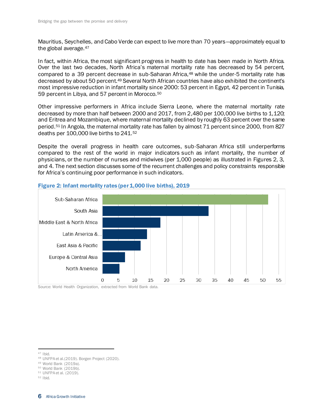Mauritius, Seychelles, and Cabo Verde can expect to live more than 70 years—approximately equal to the global average.<sup>47</sup>

In fact, within Africa, the most significant progress in health to date has been made in North Africa. Over the last two decades, North Africa's maternal mortality rate has decreased by 54 percent, compared to a 39 percent decrease in sub-Saharan Africa,<sup>48</sup> while the under-5 mortality rate has decreased by about 50 percent.<sup>49</sup> Several North African countries have also exhibited the continent's most impressive reduction in infant mortality since 2000: 53 percent in Egypt, 42 percent in Tunisia, 59 percent in Libya, and 57 percent in Morocco.<sup>50</sup>

Other impressive performers in Africa include Sierra Leone, where the maternal mortality rate decreased by more than half between 2000 and 2017, from 2,480 per 100,000 live births to 1,120; and Eritrea and Mozambique, where maternal mortality declined by roughly 63 percent over the same period.<sup>51</sup> In Angola, the maternal mortality rate has fallen by almost 71 percent since 2000, from 827 deaths per 100,000 live births to 241.<sup>52</sup>

Despite the overall progress in health care outcomes, sub-Saharan Africa still underperforms compared to the rest of the world in major indicators such as infant mortality, the number of physicians, or the number of nurses and midwives (per 1,000 people) as illustrated in Figures 2, 3, and 4. The next section discusses some of the recurrent challenges and policy constraints responsible for Africa's continuing poor performance in such indicators.



#### Figure 2: Infant mortality rates (per 1,000 live births), 2019

Source: World Health Organization, extracted from World Bank data.

 $47$  Ibid.

<sup>48</sup> UNFPA et al.(2019). Borgen Project (2020).

<sup>49</sup> World Bank (2019a).

<sup>50</sup> World Bank (2019b).

<sup>51</sup> UNFPA et al. (2019).

 $52$  Ibid.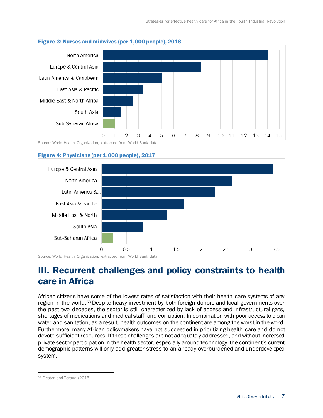

#### Figure 3: Nurses and midwives (per 1,000 people), 2018

Source: World Health Organization, extracted from World Bank data.

#### Figure 4: Physicians (per 1,000 people), 2017



<span id="page-11-0"></span>Source: World Health Organization, extracted from World Bank data.

## III. Recurrent challenges and policy constraints to health care in Africa

African citizens have some of the lowest rates of satisfaction with their health care systems of any region in the world.<sup>53</sup> Despite heavy investment by both foreign donors and local governments over the past two decades, the sector is still characterized by lack of access and infrastructural gaps, shortages of medications and medical staff, and corruption. In combination with poor access to clean water and sanitation, as a result, health outcomes on the continent are among the worst in the world. Furthermore, many African policymakers have not succeeded in prioritizing health care and do not devote sufficient resources. If these challenges are not adequately addressed, and without increased private sector participation in the health sector, especially around technology, the continent's current demographic patterns will only add greater stress to an already overburdened and underdeveloped system.

<sup>53</sup> Deaton and Tortura (2015).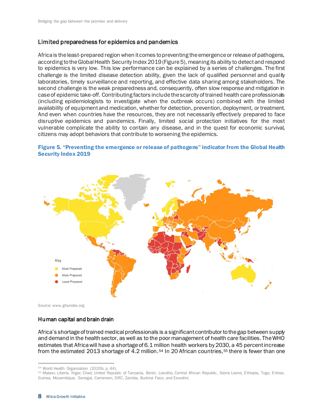#### Limited preparedness for epidemics and pandemics

Africa is the least-prepared region when it comes to preventing the emergence or release of pathogens, according to the Global Health Security Index 2019 (Figure 5), meaning its ability to detect and respond to epidemics is very low. This low performance can be explained by a series of challenges. The first challenge is the limited disease detection ability, given the lack of qualified personnel and quality laboratories, timely surveillance and reporting, and effective data sharing among stakeholders. The second challenge is the weak preparedness and, consequently, often slow response and mitigation in case of epidemic take-off. Contributing factors include the scarcity of trained health care professionals (including epidemiologists to investigate when the outbreak occurs) combined with the limited availability of equipment and medication, whether for detection, prevention, deployment, or treatment. And even when countries have the resources, they are not necessarily effectively prepared to face disruptive epidemics and pandemics. Finally, limited social protection initiatives for the most vulnerable complicate the ability to contain any disease, and in the quest for economic survival, citizens may adopt behaviors that contribute to worsening the epidemics.

#### Figure 5. "Preventing the emergence or release of pathogens" indicator from the Global Health Security Index 2019



Source[: www.ghsindex.org](https://www.ghsindex.org/)

#### Human capital and brain drain

Africa's shortage of trained medical professionals is a significant contributor to the gap between supply and demand in the health sector, as well as to the poor management of health care facilities. The WHO estimates that Africa will have a shortage of 6.1 million health workers by 2030, a 45 percent increase from the estimated 2013 shortage of 4.2 million.<sup>54</sup> In 20 African countries,<sup>55</sup> there is fewer than one

<sup>54</sup> World Health Organization (2020b, p. 44).

<sup>55</sup> Malawi, Liberia, Niger, Chad, United Republic of Tanzania, Benin, Lesotho, Central African Republic, Sierra Leone, Ethiopia, Togo, Eritrea, Guinea, Mozambique, Senegal, Cameroon, DRC, Zambia, Burkina Faso, and Eswatini.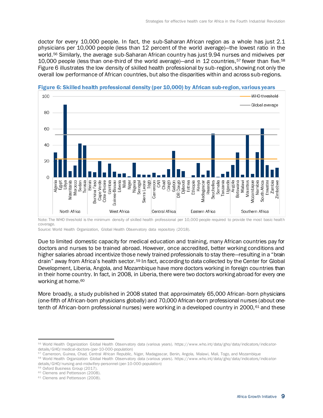doctor for every 10,000 people. In fact, the sub-Saharan African region as a whole has just 2.1 physicians per 10,000 people (less than 12 percent of the world average)—the lowest ratio in the world.<sup>56</sup> Similarly, the average sub-Saharan African country has just 9.94 nurses and midwives per 10,000 people (less than one-third of the world average)—and in 12 countries,<sup>57</sup> fewer than five.<sup>58</sup> Figure 6 illustrates the low density of skilled health professional by sub-region, showing not only the overall low performance of African countries, but also the disparities within and across sub-regions.



#### Figure 6: Skilled health professional density (per 10,000) by African sub-region, various years

Note: The WHO threshold is the minimum density of skilled health professional per 10,000 people required to provide the most basic health coverage.

Source: World Health Organization, Global Health Observatory data repository (2018).

Due to limited domestic capacity for medical education and training, many African countries pay for doctors and nurses to be trained abroad. However, once accredited, better working conditions and higher salaries abroad incentivize those newly trained professionals to stay there—resulting in a "brain drain" away from Africa's health sector.<sup>59</sup> In fact, according to data collected by the Center for Global Development, Liberia, Angola, and Mozambique have more doctors working in foreign countries than in their home country. In fact, in 2008, in Liberia, there were two doctors working abroad for every one working at home.<sup>60</sup>

More broadly, a study published in 2008 stated that approximately 65,000 African-born physicians (one-fifth of African-born physicians globally) and 70,000 African-born professional nurses (about onetenth of African-born professional nurses) were working in a developed country in 2000, <sup>61</sup> and these

<sup>58</sup> World Health Organization Global Health Observatory data (various years). https://www.who.int/data/gho/data/indicators/indicatordetails/GHO/nursing-and-midwifery-personnel-(per-10-000-population)

<sup>56</sup> World Health Organization Global Health Observatory data (various years). https://www.who.int/data/gho/data/indicators/indicatordetails/GHO/medical-doctors-(per-10-000-population)

<sup>57</sup> Cameroon, Guinea, Chad, Central African Republic, Niger, Madagascar, Benin, Angola, Malawi, Mali, Togo, and Mozambique

<sup>59</sup> Oxford Business Group (2017).

<sup>&</sup>lt;sup>60</sup> Clemens and Pettersson (2008).

<sup>&</sup>lt;sup>61</sup> Clemens and Pettersson (2008).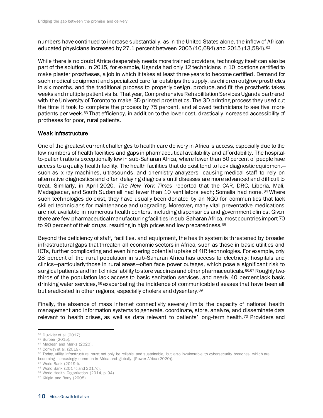numbers have continued to increase substantially, as in the United States alone, the inflow of Africaneducated physicians increased by  $27.1$  percent between  $2005$  (10,684) and  $2015$  (13,584). <sup>62</sup>

While there is no doubt Africa desperately needs more trained providers, technology itself can also be part of the solution. In 2015, for example, Uganda had only 12 technicians in 10 locations certified to make plaster prostheses, a job in which it takes at least three years to become certified. Demand for such medical equipment and specialized care far outstrips the supply, as children outgrow prosthetics in six months, and the traditional process to properly design, produce, and fit the prosthetic takes weeks and multiple patient visits. That year, Comprehensive Rehabilitation Services Uganda partnered with the University of Toronto to make 3D printed prosthetics. The 3D printing process they used cut the time it took to complete the process by 75 percent, and allowed technicians to see five more patients per week.<sup>63</sup> That efficiency, in addition to the lower cost, drastically increased accessibility of protheses for poor, rural patients.

#### Weak infrastructure

One of the greatest current challenges to health care delivery in Africa is access, especially due to the low numbers of health facilities and gaps in pharmaceutical availability and affordability. The hospitalto-patient ratio is exceptionally low in sub-Saharan Africa, where fewer than 50 percent of people have access to a quality health facility. The health facilities that do exist tend to lack diagnostic equipment such as x-ray machines, ultrasounds, and chemistry analyzers—causing medical staff to rely on alternative diagnostics and often delaying diagnosis until diseases are more advanced and difficult to treat. Similarly, in April 2020, *The New York Times* reported that the CAR, DRC, Liberia, Mali, Madagascar, and South Sudan all had fewer than 10 ventilators each; Somalia had none. <sup>64</sup> Where such technologies do exist, they have usually been donated by an NGO for communities that lack skilled technicians for maintenance and upgrading. Moreover, many vital preventative medications are not available in numerous health centers, including dispensaries and government clinics. Given there are few pharmaceutical manufacturing facilities in sub-Saharan Africa, most countries import 70 to 90 percent of their drugs, resulting in high prices and low preparedness.<sup>65</sup>

Beyond the deficiency of staff, facilities, and equipment, the health system is threatened by broader infrastructural gaps that threaten all economic sectors in Africa, such as those in basic utilities and ICTs, further complicating and even hindering potential uptake of 4IR technologies. For example, only 28 percent of the rural population in sub-Saharan Africa has access to electricity; hospitals and clinics—particularly those in rural areas—often face power outages, which pose a significant risk to surgical patients and limit clinics' ability to store vaccines and other pharmaceuticals. 66,67 Roughly twothirds of the population lack access to basic sanitation services, and nearly 40 percent lack basic drinking water services,<sup>68</sup> exacerbating the incidence of communicable diseases that have been all but eradicated in other regions, especially cholera and dysentery.<sup>69</sup>

Finally, the absence of mass internet connectivity severely limits the capacity of national health management and information systems to generate, coordinate, store, analyze, and disseminate data relevant to health crises, as well as data relevant to patients' long-term health.<sup>70</sup> Providers and

<sup>62</sup> Duvivier et al. (2017).

<sup>63</sup> Burpee (2015).

<sup>&</sup>lt;sup>64</sup> Maclean and Marks (2020).

<sup>&</sup>lt;sup>65</sup> Conway et al. (2019).

<sup>&</sup>lt;sup>66</sup> Today, utility infrastructure must not only be reliable and sustainable, but also invulnerable to cybersecurity breaches, which are becoming increasingly common in Africa and globally. (Power Africa (2020)).

<sup>67</sup> World Bank (2019d).

<sup>68</sup> World Bank (2017c and 2017d).

<sup>&</sup>lt;sup>69</sup> World Health Organization (2014, p. 94).

<sup>70</sup> Kirigia and Barry (2008).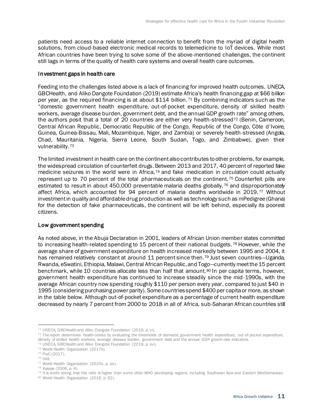patients need access to a reliable internet connection to benefit from the myriad of digital health solutions, from cloud-based electronic medical records to telemedicine to IoT devices. While most African countries have been trying to solve some of the above-mentioned challenges, the continent still lags in terms of the quality of health care systems and overall health care outcomes.

#### Investment gaps in health care

Feeding into the challenges listed above is a lack of financing for improved health outcomes. UNECA, GBCHealth, and Aliko Dangote Foundation (2019) estimate Africa's health financing gap at \$66 billion per year, as the required financing is at about \$114 billion. <sup>71</sup> By combining indicators such as the "domestic government health expenditure, out-of-pocket expenditure, density of skilled health workers, average disease burden, government debt, and the annual GDP growth rate" among others, the authors posit that a total of 20 countries are either very health-stressed<sup>72</sup> (Benin, Cameroon, Central African Republic, Democratic Republic of the Congo, Republic of the Congo, Côte d'Ivoire, Guinea, Guinea-Bissau, Mali, Mozambique, Niger, and Zambia) or severely health-stressed (Angola, Chad, Mauritania, Nigeria, Sierra Leone, South Sudan, Togo, and Zimbabwe), given their vulnerability.<sup>73</sup>

The limited investment in health care on the continent also contributes to other problems, for example, the widespread circulation of counterfeit drugs. Between 2013 and 2017, 40 percent of reported fake medicine seizures in the world were in Africa,<sup>74</sup> and fake medication in circulation could actually represent up to 70 percent of the total pharmaceuticals on the continent.<sup>75</sup> Counterfeit pills are estimated to result in about 450,000 preventable malaria deaths globally, 76 and disproportionately affect Africa, which accounted for 94 percent of malaria deaths worldwide in 2019. <sup>77</sup> Without investment in quality and affordable drug production as well as technology such as mPedigree (Ghana) for the detection of fake pharmaceuticals, the continent will be left behind, especially its poorest citizens.

#### Low government spending

As noted above, in the Abuja Declaration in 2001, leaders of African Union member states committed to increasing health-related spending to 15 percent of their national budgets.<sup>78</sup> However, while the average share of government expenditure on health increased markedly between 1995 and 2004, it has remained relatively constant at around 11 percent since then.<sup>79</sup> Just seven countries—Uganda, Rwanda, eSwatini, Ethiopia, Malawi, Central African Republic, and Togo—currently meet the 15 percent benchmark, while 10 countries allocate less than half that amount.<sup>80</sup> In per capita terms, however, government health expenditure has continued to increase steadily since the mid-1990s, with the average African country now spending roughly \$110 per person every year, compared to just \$40 in 1995 (considering purchasing power parity). Some countries spend \$400 per capita or more, as shown in the table below. Although out-of-pocket expenditure as a percentage of current health expenditure decreased by nearly 7 percent from 2000 to 2018 in all of Africa, sub-Saharan African countries still

<sup>71</sup> UNECA, GBCHealth and Aliko Dangote Foundation (2019, p. vi).

<sup>&</sup>lt;sup>72</sup> The report determines health-stress by evaluating the thresholds of domestic government health expenditure, out-of-pocket expenditure, density of skilled health workers, average disease burden, government debt and the annual GDP growth rate indicators. <sup>73</sup> UNECA, GBCHealth and Aliko Dangote Foundation (2019, p. xvi).

<sup>74</sup> World Health Organization (2017b). <sup>75</sup> PwC (2017).

<sup>76</sup> Ibid.

<sup>77</sup> World Health Organization (2020c, p. xiv).

<sup>78</sup> Kaseje (2006, p. 4).

<sup>79</sup> It is worth noting that this ratio is higher than some other WHO developing regions, including Southeast Asia and Eastern Mediterranean.

<sup>80</sup> World Health Organization (2016, p. 62).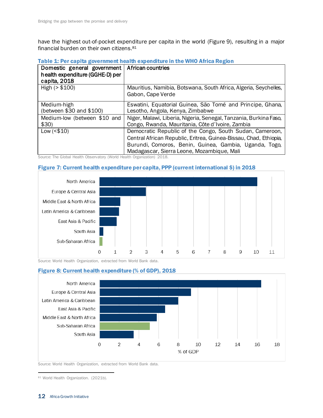have the highest out-of-pocket expenditure per capita in the world (Figure 9), resulting in a major financial burden on their own citizens.<sup>81</sup>

Table 1: Per capita government health expenditure in the WHO Africa Region

| Domestic general government<br>health expenditure (GGHE-D) per<br>capita, 2018 | African countries                                                                     |
|--------------------------------------------------------------------------------|---------------------------------------------------------------------------------------|
| High $(> $100)$                                                                | Mauritius, Namibia, Botswana, South Africa, Algeria, Seychelles,<br>Gabon, Cape Verde |
| Medium-high                                                                    | Eswatini, Equatorial Guinea, São Tomé and Principe, Ghana,                            |
| (between \$30 and \$100)                                                       | Lesotho, Angola, Kenya, Zimbabwe                                                      |
| Medium-low (between \$10 and                                                   | Niger, Malawi, Liberia, Nigeria, Senegal, Tanzania, Burkina Faso,                     |
| \$30)                                                                          | Congo, Rwanda, Mauritania, Côte d'Ivoire, Zambia                                      |
| Low (< \$10)                                                                   | Democratic Republic of the Congo, South Sudan, Cameroon,                              |
|                                                                                | Central African Republic, Eritrea, Guinea-Bissau, Chad, Ethiopia,                     |
|                                                                                | Burundi, Comoros, Benin, Guinea, Gambia, Uganda, Togo,                                |
|                                                                                | Madagascar, Sierra Leone, Mozambique, Mali                                            |

Source: The Global Health Observatory (World Health Organization) 2018.

#### Figure 7: Current health expenditure per capita, PPP (current international \$) in 2018



Source: World Health Organization, extracted from World Bank data.

#### Figure 8: Current health expenditure (% of GDP), 2018



Source: World Health Organization, extracted from World Bank data.

81 World Health Organization. (2021b).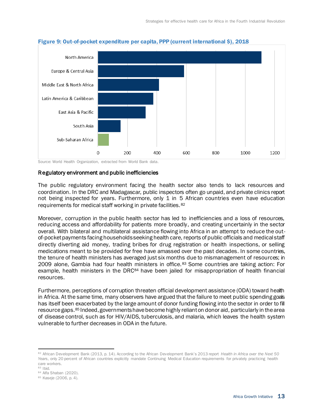

#### Figure 9: Out-of-pocket expenditure per capita, PPP (current international \$), 2018

Source: World Health Organization, extracted from World Bank data.

#### Regulatory environment and public inefficiencies

The public regulatory environment facing the health sector also tends to lack resources and coordination. In the DRC and Madagascar, public inspectors often go unpaid, and private clinics report not being inspected for years. Furthermore, only 1 in 5 African countries even have education requirements for medical staff working in private facilities.<sup>82</sup>

Moreover, corruption in the public health sector has led to inefficiencies and a loss of resources, reducing access and affordability for patients more broadly, and creating uncertainly in the sector overall. With bilateral and multilateral assistance flowing into Africa in an attempt to reduce the outof-pocket payments facing households seeking health care, reports of public officials and medical staff directly diverting aid money, trading bribes for drug registration or health inspections, or selling medications meant to be provided for free have amassed over the past decades. In some countries, the tenure of health ministers has averaged just six months due to mismanagement of resources; in 2009 alone, Gambia had four health ministers in office. <sup>83</sup> Some countries are taking action: For example, health ministers in the DRC<sup>84</sup> have been jailed for misappropriation of health financial resources.

Furthermore, perceptions of corruption threaten official development assistance (ODA) toward health in Africa. At the same time, many observers have argued that the failure to meet public spending goals has itself been exacerbated by the large amount of donor funding flowing into the sector in order to fill resource gaps.<sup>85</sup> Indeed, governments have become highly reliant on donor aid, particularly in the area of disease control, such as for HIV/AIDS, tuberculosis, and malaria, which leaves the health system vulnerable to further decreases in ODA in the future.

<sup>82</sup> African Development Bank (2013, p. 14). According to the African Development Bank's 2013 report *Health in Africa over the Next 50 Years*, only 20 percent of African countries explicitly mandate Continuing Medical Education requirements for privately practicing health care workers.

<sup>83</sup> Ibid.

<sup>84</sup> Alfa Shaban (2020).

<sup>85</sup> Kaseje (2006, p. 4).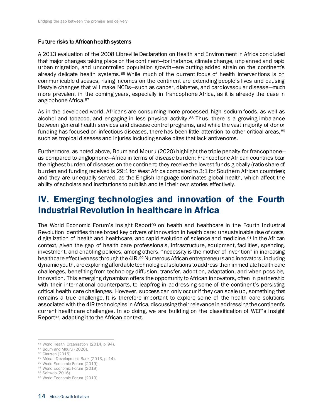#### Future risks to African health systems

A 2013 evaluation of the 2008 Libreville Declaration on Health and Environment in Africa concluded that major changes taking place on the continent—for instance, climate change, unplanned and rapid urban migration, and uncontrolled population growth—are putting added strain on the continent's already delicate health systems.<sup>86</sup> While much of the current focus of health interventions is on communicable diseases, rising incomes on the continent are extending people's lives and causing lifestyle changes that will make NCDs—such as cancer, diabetes, and cardiovascular disease—much more prevalent in the coming years, especially in francophone Africa, as it is already the case in anglophone Africa.<sup>87</sup>

As in the developed world, Africans are consuming more processed, high-sodium foods, as well as alcohol and tobacco, and engaging in less physical activity.<sup>88</sup> Thus, there is a growing imbalance between general health services and disease control programs, and while the vast majority of donor funding has focused on infectious diseases, there has been little attention to other critical areas, <sup>89</sup> such as tropical diseases and injuries including snake bites that lack antivenoms.

Furthermore, as noted above, Boum and Mburu (2020) highlight the triple penalty for francophone as compared to anglophone—Africa in terms of disease burden: Francophone African countries bear the highest burden of diseases on the continent; they receive the lowest funds globally (ratio share of burden and funding received is 29:1 for West Africa compared to 3:1 for Southern African countries); and they are unequally served, as the English language dominates global health, which affect the ability of scholars and institutions to publish and tell their own stories effectively.

## <span id="page-18-0"></span>IV. Emerging technologies and innovation of the Fourth Industrial Revolution in healthcare in Africa

The World Economic Forum's Insight Report<sup>90</sup> on health and healthcare in the Fourth Industrial Revolution identifies three broad key drivers of innovation in health care: unsustainable rise of costs, digitalization of health and healthcare, and rapid evolution of science and medicine.<sup>91</sup> In the African context, given the gap of health care professionals, infrastructure, equipment, facilities, spending, investment, and enabling policies, among others, "necessity is the mother of invention" in increasing healthcare effectiveness through the 4IR.<sup>92</sup> Numerous African entrepreneurs and innovators, including dynamic youth, are exploring affordable technological solutions to address their immediate health care challenges, benefiting from technology diffusion, transfer, adoption, adaptation, and when possible, innovation. This emerging dynamism offers the opportunity to African innovators, often in partnership with their international counterparts, to leapfrog in addressing some of the continent's persisting critical health care challenges. However, success can only occur if they can scale up, something that remains a true challenge. It is therefore important to explore some of the health care solutions associated with the 4IR technologies in Africa, discussing their relevance in addressing the continent's current healthcare challenges. In so doing, we are building on the classification of WEF's Insight Report93, adapting it to the African context.

<sup>86</sup> World Health Organization (2014, p. 94).

<sup>87</sup> Boum and Mburu (2020).

<sup>88</sup> Clausen (2015).

<sup>89</sup> African Development Bank (2013, p. 14).

<sup>90</sup> World Economic Forum (2019). 91 World Economic Forum (2019).

<sup>92</sup> Schwab (2016).

<sup>93</sup> World Economic Forum (2019).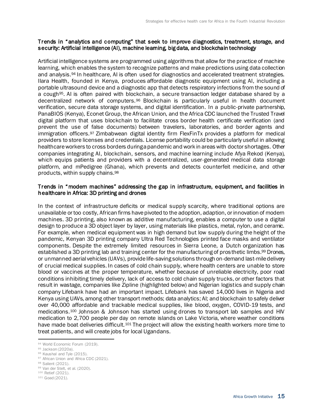#### Trends in "analytics and computing" that seek to improve diagnostics, treatment, storage, and security: Artificial intelligence (AI), machine learning, big data, and blockchain technology

Artificial intelligence systems are programmed using algorithms that allow for the practice of machine learning, which enables the system to recognize patterns and make predictions using data collection and analysis.<sup>94</sup> In healthcare, AI is often used for diagnostics and accelerated treatment strategies. Ilara Health, founded in Kenya, produces affordable diagnostic equipment using AI, including a portable ultrasound device and a diagnostic app that detects respiratory infections from the sound of a cough95. AI is often paired with blockchain, a secure transaction ledger database shared by a decentralized network of computers.<sup>96</sup> Blockchain is particularly useful in health document verification, secure data storage systems, and digital identification. In a public-private partnership, PanaBIOS (Kenya), Econet Group, the African Union, and the Africa CDC launched the Trusted Travel digital platform that uses blockchain to facilitate cross border health certificate verification (and prevent the use of false documents) between travelers, laboratories, and border agents and immigration officers.<sup>97</sup> Zimbabwean digital identity firm FlexFinTx provides a platform for medical providers to store licenses and credentials. License portability could be particularly useful in allowing healthcare workers to cross borders during a pandemic and work in areas with doctor shortages. Other companies integrating AI, blockchain, sensors, and machine learning include Afya Rekod (Kenya), which equips patients and providers with a decentralized, user-generated medical data storage platform, and mPedigree (Ghana), which prevents and detects counterfeit medicine, and other products, within supply chains.<sup>98</sup>

#### Trends in "modern machines" addressing the gap in infrastructure, equipment, and facilities in healthcare in Africa: 3D printing and drones

In the context of infrastructure deficits or medical supply scarcity, where traditional options are unavailable or too costly, African firms have pivoted to the adoption, adaption, or innovation of modern machines. 3D printing, also known as additive manufacturing, enables a computer to use a digital design to produce a 3D object layer by layer, using materials like plastics, metal, nylon, and ceramic. For example, when medical equipment was in high demand but low supply during the height of the pandemic, Kenyan 3D printing company Ultra Red Technologies printed face masks and ventilator components. Despite the extremely limited resources in Sierra Leone, a Dutch organization has established a 3D printing lab and training center for the manufacturing of prosthetic limbs.<sup>99</sup> Drones, or unmanned aerial vehicles (UAVs), provide life-saving solutions through on-demand last-mile delivery of crucial medical supplies. In cases of cold chain supply, where health centers are unable to store blood or vaccines at the proper temperature, whether because of unreliable electricity, poor road conditions inhibiting timely delivery, lack of access to cold chain supply trucks, or other factors that result in wastage, companies like Zipline (highlighted below) and Nigerian logistics and supply chain company Lifebank have had an important impact. Lifebank has saved 14,000 lives in Nigeria and Kenya using UAVs, among other transport methods; data analytics; AI; and blockchain to safely deliver over 40,000 affordable and trackable medical supplies, like blood, oxygen, COVID-19 tests, and medications.<sup>100</sup> Johnson & Johnson has started using drones to transport lab samples and HIV medication to 2,700 people per day on remote islands on Lake Victoria, where weather conditions have made boat deliveries difficult.<sup>101</sup> The project will allow the existing health workers more time to treat patients, and will create jobs for local Ugandans.

97 African Union and Africa CDC (2021).

<sup>94</sup> World Economic Forum (2019).

<sup>95</sup> Jackson (2020a).

<sup>96</sup> Kaushal and Tyle (2015).

<sup>98</sup> Salient (2021).

<sup>99</sup> Van der Stelt, et al. (2020).

<sup>100</sup> Retief (2021).

<sup>101</sup> Goad (2021).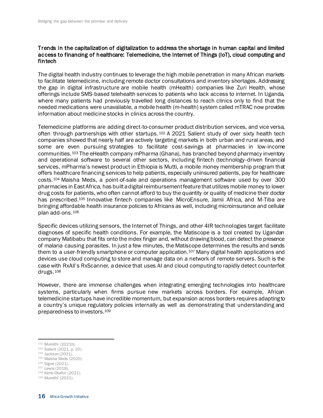#### Trends in the capitalization of digitalization to address the shortage in human capital and limited access to financing of healthcare: Telemedicine, the Internet of Things (IoT), cloud computing and fintech

The digital health industry continues to leverage the high mobile penetration in many African markets to facilitate telemedicine, including remote doctor consultations and inventory shortages. Addressing the gap in digital infrastructure are mobile health (mHealth) companies like Zuri Health, whose offerings include SMS-based telehealth services to patients who lack access to internet. In Uganda, where many patients had previously travelled long distances to reach clinics only to find that the needed medications were unavailable, a mobile health (m-health) system called mTRAC now provides information about medicine stocks in clinics across the country.

Telemedicine platforms are adding direct-to-consumer product distribution services, and vice versa, often through partnerships with other startups.<sup>102</sup> A 2021 Salient study of over sixty health tech companies showed that nearly half are actively targeting markets in both urban and rural areas, and some are even pursuing strategies to facilitate cost-savings at pharmacies in low-income communities.<sup>103</sup> The eHealth company mPharma (Ghana), has branched beyond pharmacy inventory and operational software to several other sectors, including fintech (technology-driven financial services. mPharma's newest product in Ethiopia is Mutti, a mobile money membership program that offers healthcare financing services to help patients, especially uninsured patients, pay for healthcare costs.<sup>104</sup> Maisha Meds, a point-of-sale and operations management software used by over 300 pharmacies in East Africa, has built a digital reimbursement feature that utilizes mobile money to lower drug costs for patients, who often cannot afford to buy the quantity or quality of medicine their doctor has prescribed.<sup>105</sup> Innovative fintech companies like MicroEnsure, Jamii Africa, and M-Tiba are bringing affordable health insurance policies to Africans as well, including microinsurance and cellular plan add-ons.<sup>106</sup>

Specific devices utilizing sensors, the Internet of Things, and other 4IR technologies target facilitate diagnoses of specific health conditions. For example, the Matiscope is a tool created by Ugandan company Matibabu that fits onto the index finger and, without drawing blood, can detect the presence of malaria causing parasites. In just a few minutes, the Matiscope determines the results and sends them to a user-friendly smartphone or computer application.<sup>107</sup> Many digital health applications and devices use cloud computing to store and manage data on a network of remote servers. Such is the case with RxAll's RxScanner, a device that uses AI and cloud computing to rapidly detect counterfeit drugs.<sup>108</sup>

However, there are immense challenges when integrating emerging technologies into healthcare systems, particularly when firms pursue new markets across borders. For example, African telemedicine startups have incredible momentum, but expansion across borders requires adapting to a country's unique regulatory policies internally as well as demonstrating that understanding and preparedness to investors.<sup>109</sup>

- <sup>104</sup> Jackson (2021).
- <sup>105</sup> Maisha Meds (2020).
- <sup>106</sup> Signé (2021).
- <sup>107</sup> Lewis (2019).

<sup>102</sup> Mureithi (2021b).

<sup>103</sup> Salient (2021, p. 20).

<sup>108</sup> Kene-Okafor (2021).

<sup>109</sup> Mureithi (2021).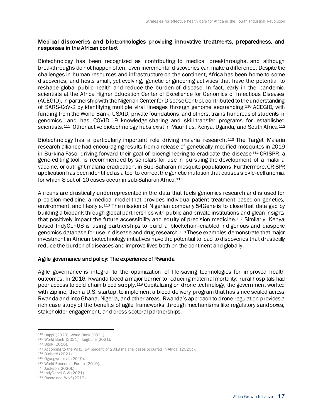#### Medical discoveries and biotechnologies providing innovative treatments, preparedness, and responses in the African context

Biotechnology has been recognized as contributing to medical breakthroughs, and although breakthroughs do not happen often, even incremental discoveries can make a difference. Despite the challenges in human resources and infrastructure on the continent, Africa has been home to some discoveries, and hosts small, yet evolving, genetic engineering activities that have the potential to reshape global public health and reduce the burden of disease. In fact, early in the pandemic, scientists at the Africa Higher Education Center of Excellence for Genomics of Infectious Diseases (ACEGID), in partnership with the Nigerian Center for Disease Control, contributed to the understanding of SARS-CoV-2 by identifying multiple viral lineages through genome sequencing.<sup>110</sup> ACEGID, with funding from the World Bank, USAID, private foundations, and others, trains hundreds of students in genomics, and has COVID-19 knowledge-sharing and skill-transfer programs for established scientists.<sup>111</sup> Other active biotechnology hubs exist in Mauritius, Kenya, Uganda, and South Africa.<sup>112</sup>

Biotechnology has a particularly important role driving malaria research. <sup>113</sup> The Target Malaria research alliance had encouraging results from a release of genetically modified mosquitos in 2019 in Burkina Faso, driving forward their goal of bioengineering to eradicate the disease<sup>114</sup> CRISPR, a gene-editing tool, is recommended by scholars for use in pursuing the development of a malaria vaccine, or outright malaria eradication, in Sub-Saharan mosquito populations. Furthermore, CRISPR application has been identified as a tool to correct the genetic mutation that causes sickle-cell anemia, for which 8 out of 10 cases occur in sub-Saharan Africa.<sup>115</sup>

Africans are drastically underrepresented in the data that fuels genomics research and is used for precision medicine, a medical model that provides individual patient treatment based on genetics, environment, and lifestyle.<sup>116</sup> The mission of Nigerian company 54Gene is to close that data gap by building a biobank through global partnerships with public and private institutions and glean insights that positively impact the future accessibility and equity of precision medicine.<sup>117</sup> Similarly, Kenyabased IndyGenUS is using partnerships to build a blockchain-enabled indigenous and diasporic genomics database for use in disease and drug research.<sup>118</sup> These examples demonstrate that major investment in African biotechnology initiatives have the potential to lead to discoveries that drastically reduce the burden of diseases and improve lives both on the continent and globally.

#### Agile governance and policy: The experience of Rwanda

Agile governance is integral to the optimization of life-saving technologies for improved health outcomes. In 2016, Rwanda faced a major barrier to reducing maternal mortality: rural hospitals had poor access to cold chain blood supply.<sup>119</sup> Capitalizing on drone technology, the government worked with Zipline, then a U.S. startup, to implement a blood delivery program that has since scaled across Rwanda and into Ghana, Nigeria, and other areas. Rwanda's approach to drone regulation provides a rich case study of the benefits of agile frameworks through mechanisms like regulatory sandboxes, stakeholder engagement, and cross-sectoral partnerships.

<sup>110</sup> Happi (2020); World Bank (2021).

<sup>111</sup> World Bank (2021). Ikegbune (2021).

<sup>112</sup> Bitok (2016).

<sup>113</sup> According to the WHO, 94 percent of 2019 malaria cases occurred in Africa. (2020c).

<sup>114</sup> Diabaté (2021).

<sup>115</sup> Ogaugwu et al. (2019).

<sup>116</sup> World Economic Forum (2019).

<sup>117</sup> Jackson (2020b).

<sup>118</sup> IndyGeneUS AI (2021).

<sup>119</sup> Russo and Wolf (2019).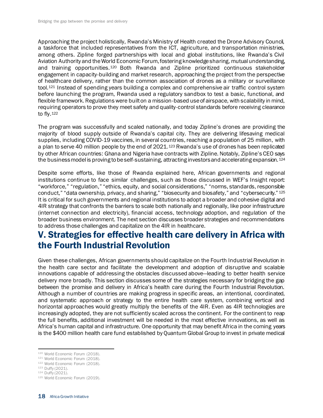Approaching the project holistically, Rwanda's Ministry of Health created the Drone Advisory Council, a taskforce that included representatives from the ICT, agriculture, and transportation ministries, among others. Zipline forged partnerships with local and global institutions, like Rwanda's Civil Aviation Authority and the World Economic Forum, fostering knowledge sharing, mutual understanding, and training opportunities.<sup>120</sup> Both Rwanda and Zipline prioritized continuous stakeholder engagement in capacity-building and market research, approaching the project from the perspective of healthcare delivery, rather than the common association of drones as a military or surveillance tool.<sup>121</sup> Instead of spending years building a complex and comprehensive air traffic control system before launching the program, Rwanda used a regulatory sandbox to test a basic, functional, and flexible framework. Regulations were built on a mission-based use of airspace, with scalability in mind, requiring operators to prove they meet safety and quality-control standards before receiving clearance to fly.<sup>122</sup>

The program was successfully and scaled nationally, and today Zipline's drones are providing the majority of blood supply outside of Rwanda's capital city. They are delivering lifesaving medical supplies, including COVID-19 vaccines, in several countries, reaching a population of 25 million, with a plan to serve 40 million people by the end of 2021.<sup>123</sup> Rwanda's use of drones has been replicated by other African countries: Ghana and Nigeria have contracts with Zipline. Notably, Zipline's CEO says the business model is proving to be self-sustaining, attracting investors and accelerating expansion. 124

Despite some efforts, like those of Rwanda explained here, African governments and regional institutions continue to face similar challenges, such as those discussed in WEF's Insight report: "workforce," "regulation," "ethics, equity, and social considerations," "norms, standards, responsible conduct," "data ownership, privacy, and sharing," "biosecurity and biosafety," and "cybersecurity." 125 It is critical for such governments and regional institutions to adopt a broader and cohesive digital and 4IR strategy that confronts the barriers to scale both nationally and regionally, like poor infrastructure (internet connection and electricity), financial access, technology adoption, and regulation of the broader business environment. The next section discusses broader strategies and recommendations to address those challenges and capitalize on the 4IR in healthcare.

## <span id="page-22-0"></span>V. Strategies for effective health care delivery in Africa with the Fourth Industrial Revolution

Given these challenges, African governments should capitalize on the Fourth Industrial Revolution in the health care sector and facilitate the development and adoption of disruptive and scalable innovations capable of addressing the obstacles discussed above—leading to better health service delivery more broadly. This section discusses some of the strategies necessary for bridging the gap between the promise and delivery in Africa's health care during the Fourth Industrial Revolution. Although a number of countries are making progress in specific areas, an intentional, coordinated, and systematic approach or strategy to the entire health care system, combining vertical and horizontal approaches would greatly multiply the benefits of the 4IR. Even as 4IR technologies are increasingly adopted, they are not sufficiently scaled across the continent. For the continent to reap the full benefits, additional investment will be needed in the most effective innovations, as well as Africa's human capital and infrastructure. One opportunity that may benefit Africa in the coming years is the \$400 million health care fund established by Quantum Global Group to invest in private medical

<sup>120</sup> World Economic Forum (2018).

<sup>121</sup> World Economic Forum (2018).

<sup>122</sup> World Economic Forum (2018).

<sup>123</sup> Duffy (2021).

<sup>124</sup> Duffy (2021).

<sup>125</sup> World Economic Forum (2019).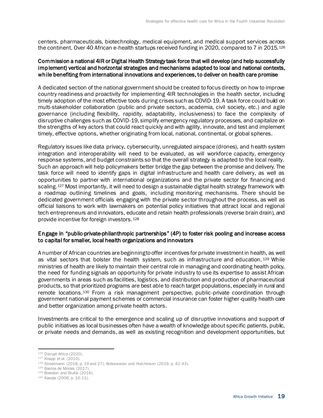centers, pharmaceuticals, biotechnology, medical equipment, and medical support services across the continent. Over 40 African e-health startups received funding in 2020, compared to 7 in 2015.<sup>126</sup>

#### Commission a national 4IR or Digital Health Strategy task force that will develop (and help successfully implement) vertical and horizontal strategies and mechanisms adapted to local and national contexts, while benefiting from international innovations and experiences, to deliver on health care promise

A dedicated section of the national government should be created to focus directly on how to improve country readiness and proactivity for implementing 4IR technologies in the health sector, including timely adoption of the most effective tools during crises such as COVID-19. A task force could build on multi-stakeholder collaboration (public and private sectors, academia, civil society, etc.) and agile governance (including flexibility, rapidity, adaptability, inclusiveness) to face the complexity of disruptive challenges such as COVID-19, simplify emergency regulatory processes, and capitalize on the strengths of key actors that could react quickly and with agility, innovate, and test and implement timely, effective options, whether originating from local, national, continental, or global spheres.

Regulatory issues like data privacy, cybersecurity, unregulated airspace (drones), and health system integration and interoperability will need to be evaluated, as will workforce capacity, emergency response systems, and budget constraints so that the overall strategy is adapted to the local reality. Such an approach will help policymakers better bridge the gap between the promise and delivery. The task force will need to identify gaps in digital infrastructure and health care delivery, as well as opportunities to partner with international organizations and the private sector for financing and scaling.<sup>127</sup> Most importantly, it will need to design a sustainable digital health strategy framework with a roadmap outlining timelines and goals, including monitoring mechanisms. There should be dedicated government officials engaging with the private sector throughout the process, as well as official liaisons to work with lawmakers on potential policy initiatives that attract local and regional tech entrepreneurs and innovators, educate and retain health professionals (reverse brain drain), and provide incentive for foreign investors.<sup>128</sup>

#### Engage in "public-private-philanthropic partnerships" (4P) to foster risk pooling and increase access to capital for smaller, local health organizations and innovators

A number of African countries are beginning to offer incentives for private investment in health, as well as vital sectors that bolster the health system, such as infrastructure and education. <sup>129</sup> While ministries of health are likely to maintain their central role in managing and coordinating health policy, the need for funding signals an opportunity for private industry to use its expertise to assist African governments in areas such as facilities, logistics, and distribution and production of pharmaceutical products, so that prioritized programs are best able to reach target populations, especially in rural and remote locations.<sup>130</sup> From a risk management perspective, public-private coordination through government national payment schemes or commercial insurance can foster higher-quality health care and better organization among private health actors.

Investments are critical to the emergence and scaling up of disruptive innovations and support of public initiatives as local businesses often have a wealth of knowledge about specific patients, public, or private needs and demands, as well as existing recognition and development opportunities, but

<sup>126</sup> Disrupt Africa (2020).

<sup>127</sup> Knapp et al. (2010).

<sup>128</sup> Stroetmann (2018, p. 19 and 27); Akileswaran and Hutchinson (2019, p. 42-43).

<sup>129</sup> Bastos de Morais (2017).

<sup>129</sup> Breedon and Brufal (2016).

<sup>130</sup> Kaseje (2006, p. 10-11).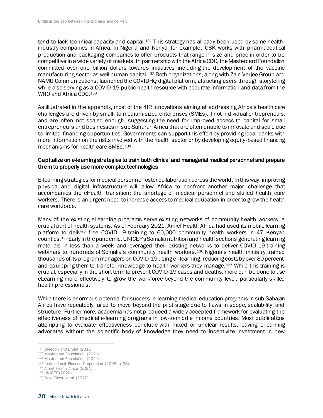tend to lack technical capacity and capital.<sup>131</sup> This strategy has already been used by some healthindustry companies in Africa. In Nigeria and Kenya, for example, GSK works with pharmaceutical production and packaging companies to offer products that range in size and price in order to be competitive in a wide variety of markets. In partnership with the Africa CDC, the Mastercard Foundation committed over one billion dollars towards initiatives including the development of the vaccine manufacturing sector as well human capital.<sup>132</sup> Both organizations, along with Zain Verjee Group and NAMU Communications, launched the COVIDHQ digital platform, attracting users through storytelling while also serving as a COVID-19 public health resource with accurate information and data from the WHO and Africa CDC.<sup>133</sup>

As illustrated in the appendix, most of the 4IR innovations aiming at addressing Africa's health care challenges are driven by small- to medium-sized enterprises (SMEs), if not individual entrepreneurs, and are often not scaled enough—suggesting the need for improved access to capital for small entrepreneurs and businesses in sub-Saharan Africa that are often unable to innovate and scale due to limited financing opportunities. Governments can support this effort by providing local banks with more information on the risks involved with the health sector or by developing equity-based financing mechanisms for health care SMEs.<sup>134</sup>

#### Capitalize on e-learning strategies to train both clinical and managerial medical personnel and prepare them to properly use more complex technologies

E-learning strategies for medical personnel foster collaboration across the world. In this way, improving physical and digital infrastructure will allow Africa to confront another major challenge that accompanies the eHealth transition: the shortage of medical personnel and skilled health care workers. There is an urgent need to increase access to medical education in order to grow the health care workforce.

Many of the existing eLearning programs serve existing networks of community health workers, a crucial part of health systems. As of February 2021, Amref Health Africa had used its mobile learning platform to deliver free COVID-19 training to 60,000 community health workers in 47 Kenyan counties.<sup>135</sup> Early in the pandemic, UNICEF's Somalia nutrition and health sections generating learning materials in less than a week and leveraged their existing networks to deliver COVID-19 training webinars to hundreds of Somalia's community health workers. 136 Nigeria's health ministry trained thousands of its program managers on COVID-19 using e—learning, reducing costs by over 80 percent, and equipping them to transfer knowledge to health workers they manage. 137 While this training is crucial, especially in the short term to prevent COVID-19 cases and deaths, more can be done to use eLearning more effectively to grow the workforce beyond the community level, particularly skilled health professionals.

While there is enormous potential for success, e-learning medical education programs in sub-Saharan Africa have repeatedly failed to move beyond the pilot stage due to flaws in scope, scalability, and structure. Furthermore, academia has not produced a widely accepted framework for evaluating the effectiveness of medical e-learning programs in low-to-middle income countries. Most publications attempting to evaluate effectiveness conclude with mixed or unclear results, leaving e-learning advocates without the scientific body of knowledge they need to incentivize investment in new

<sup>131</sup> Breedon and Brufal (2016).

<sup>132</sup> Mastercard Foundation (2021a).

<sup>133</sup> Mastercard Foundation (2021b).

<sup>134</sup> International Finance Corporation (2008, p. 33).

<sup>135</sup> Amref Health Africa (2021).

<sup>136</sup> UNICEF (2020).

<sup>137</sup> Dele-Olowu, et al. (2020).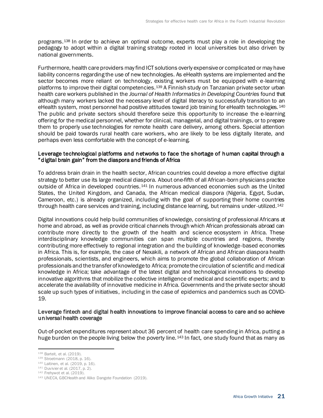programs.<sup>138</sup> In order to achieve an optimal outcome, experts must play a role in developing the pedagogy to adopt within a digital training strategy rooted in local universities but also driven by national governments.

Furthermore, health care providers may find ICT solutions overly expensive or complicated or may have liability concerns regarding the use of new technologies. As eHealth systems are implemented and the sector becomes more reliant on technology, existing workers must be equipped with e-learning platforms to improve their digital competencies.<sup>139</sup> A Finnish study on Tanzanian private sector urban health care workers published in the *Journal of Health Informatics in Developing Countries* found that although many workers lacked the necessary level of digital literacy to successfully transition to an eHealth system, most personnel had positive attitudes toward job training for eHealth technologies. 140 The public and private sectors should therefore seize this opportunity to increase the e-learning offering for the medical personnel, whether for clinical, managerial, and digital trainings, or to prepare them to properly use technologies for remote health care delivery, among others. Special attention should be paid towards rural health care workers, who are likely to be less digitally literate, and perhaps even less comfortable with the concept of e-learning.

#### Leverage technological platforms and networks to face the shortage of human capital through a "digital brain gain" from the diaspora and friends of Africa

To address brain drain in the health sector, African countries could develop a more effective digital strategy to better use its large medical diaspora. About one-fifth of all African-born physicians practice outside of Africa in developed countries.<sup>141</sup> In numerous advanced economies such as the United States, the United Kingdom, and Canada, the African medical diaspora (Nigeria, Egypt, Sudan, Cameroon, etc.) is already organized, including with the goal of supporting their home countries through health care services and training, including distance learning, but remains under-utilized.<sup>142</sup>

Digital innovations could help build communities of knowledge, consisting of professional Africans at home and abroad, as well as provide critical channels through which African professionals abroad can contribute more directly to the growth of the health and science ecosystem in Africa. These interdisciplinary knowledge communities can span multiple countries and regions, thereby contributing more effectively to regional integration and the building of knowledge-based economies in Africa. This is, for example, the case of Nexakili, a network of African and African diaspora health professionals, scientists, and engineers, which aims to promote the global collaboration of African professionals and the transfer of knowledge to Africa; promote the circulation of scientific and medical knowledge in Africa; take advantage of the latest digital and technological innovations to develop innovative algorithms that mobilize the collective intelligence of medical and scientific experts; and to accelerate the availability of innovative medicine in Africa. Governments and the private sector should scale up such types of initiatives, including in the case of epidemics and pandemics such as COVID-19.

#### Leverage fintech and digital health innovations to improve financial access to care and so achieve universal health coverage

Out-of-pocket expenditures represent about 36 percent of health care spending in Africa, putting a huge burden on the people living below the poverty line. <sup>143</sup> In fact, one study found that as many as

<sup>138</sup> Barteit, et al. (2019).

<sup>139</sup> Stroetmann (2018, p. 16).

<sup>140</sup> Laitinen, et al. (2019, p. 16).

<sup>141</sup> Duvivier et al. (2017, p. 2).

<sup>142</sup> Frehywot et al. (2019).

<sup>143</sup> UNECA, GBCHealth and Aliko Dangote Foundation (2019).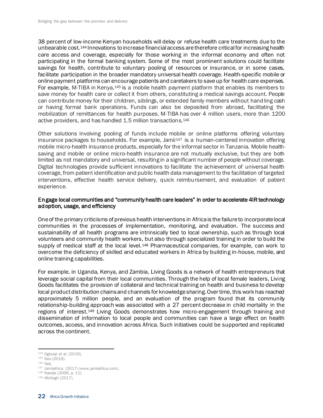38 percent of low-income Kenyan households will delay or refuse health care treatments due to the unbearable cost.<sup>144</sup> Innovations to increase financial access are therefore critical for increasing health care access and coverage, especially for those working in the informal economy and often not participating in the formal banking system. Some of the most prominent solutions could facilitate savings for health, contribute to voluntary pooling of resources or insurance, or in some cases, facilitate participation in the broader mandatory universal health coverage. Health-specific mobile or online payment platforms can encourage patients and caretakers to save up for health care expenses. For example, M-TIBA in Kenya,<sup>145</sup> is a mobile health payment platform that enables its members to save money for health care or collect it from others, constituting a medical savings account. People can contribute money for their children, siblings, or extended family members without handling cash or having formal bank operations. Funds can also be deposited from abroad, facilitating the mobilization of remittances for health purposes. M-TIBA has over 4 million users, more than 1200 active providers, and has handled 1.5 million transactions.<sup>146</sup>

Other solutions involving pooling of funds include mobile or online platforms offering voluntary insurance packages to households. For example, Jamii $147$  is a human-centered innovation offering mobile micro-health insurance products, especially for the informal sector in Tanzania. Mobile healthsaving and mobile or online micro-health insurance are not mutually exclusive, but they are both limited as not mandatory and universal, resulting in a significant number of people without coverage. Digital technologies provide sufficient innovations to facilitate the achievement of universal health coverage, from patient identification and public health data management to the facilitation of targeted interventions, effective health service delivery, quick reimbursement, and evaluation of patient experience.

#### Engage local communities and "community health care leaders" in order to accelerate 4IR technology adoption, usage, and efficiency

One of the primary criticisms of previous health interventions in Africa is the failure to incorporate local communities in the processes of implementation, monitoring, and evaluation. The success and sustainability of all health programs are intrinsically tied to local ownership, such as through local volunteers and community health workers, but also through specialized training in order to build the supply of medical staff at the local level.<sup>148</sup> Pharmaceutical companies, for example, can work to overcome the deficiency of skilled and educated workers in Africa by building in-house, mobile, and online training capabilities.

For example, in Uganda, Kenya, and Zambia, Living Goods is a network of health entrepreneurs that leverage social capital from their local communities. Through the help of local female leaders, Living Goods facilitates the provision of collateral and technical training on health and business to develop local product distribution chains and channels for knowledge sharing. Over time, this work has reached approximately 5 million people, and an evaluation of the program found that its community relationship-building approach was associated with a 27 percent decrease in child mortality in the regions of interest.<sup>149</sup> Living Goods demonstrates how micro-engagement through training and dissemination of information to local people and communities can have a large effect on health outcomes, access, and innovation across Africa. Such initiatives could be supported and replicated across the continent.

<sup>144</sup> Ogbuoji et al. (2019).

<sup>145</sup> Seo (2019).

<sup>146</sup> Ibid.

<sup>147</sup> Jamiiafrica. (2017) (www.jamiiafrica.com).

<sup>148</sup> Kaseje (2006, p. 11).

<sup>149</sup> McHugh (2017).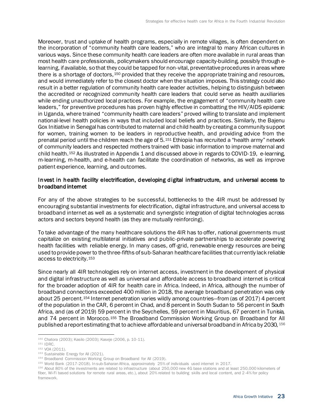Moreover, trust and uptake of health programs, especially in remote villages, is often dependent on the incorporation of "community health care leaders," who are integral to many African cultures in various ways. Since these community health care leaders are often more available in rural areas than most health care professionals, policymakers should encourage capacity-building, possibly through elearning, if available, so that they could be tapped for non-vital, preventative procedures in areas where there is a shortage of doctors, 150 provided that they receive the appropriate training and resources, and would immediately refer to the closest doctor when the situation imposes. This strategy could also result in a better regulation of community health care leader activities, helping to distinguish between the accredited or recognized community health care leaders that could serve as health auxiliaries while ending unauthorized local practices. For example, the engagement of "community health care leaders," for preventive procedures has proven highly effective in combatting the HIV/AIDS epidemic in Uganda, where trained "community health care leaders" proved willing to translate and implement national-level health policies in ways that included local beliefs and practices. Similarly, the Bajenu Gox Initiative in Senegal has contributed to maternal and child health by creating a community support for women, training women to be leaders in reproductive health, and providing advice from the prenatal period until the children reach the age of 5.<sup>151</sup> Ethiopia has recruited a "health army" network of community leaders and respected mothers trained with basic information to improve maternal and child health.<sup>152</sup> As illustrated in Appendix 1 and discussed above in regards to COVID-19, e-learning, m-learning, m-health, and e-health can facilitate the coordination of networks, as well as improve patient experience, learning, and outcomes.

#### Invest in health facility electrification, developing digital infrastructure, and universal access to broadband internet

For any of the above strategies to be successful, bottlenecks to the 4IR must be addressed by encouraging substantial investments for electrification, digital infrastructure, and universal access to broadband internet as well as a systematic and synergistic integration of digital technologies across actors and sectors beyond health (as they are mutually reinforcing).

To take advantage of the many healthcare solutions the 4IR has to offer, national governments must capitalize on existing multilateral initiatives and public-private partnerships to accelerate powering health facilities with reliable energy. In many cases, off-grid, renewable energy resources are being used to provide power to the three-fifths of sub-Saharan healthcare facilities that currently lack reliable access to electricity.<sup>153</sup>

Since nearly all 4IR technologies rely on internet access, investment in the development of physical and digital infrastructure as well as universal and affordable access to broadband internet is critical for the broader adoption of 4IR for health care in Africa. Indeed, in Africa, although the number of broadband connections exceeded 400 million in 2018, the average broadband penetration was only about 25 percent.<sup>154</sup> Internet penetration varies wildly among countries—from (as of 2017) 4 percent of the population in the CAR, 6 percent in Chad, and 8 percent in South Sudan to 56 percent in South Africa, and (as of 2019) 59 percent in the Seychelles, 59 percent in Mauritius, 67 percent in Tunisia, and 74 percent in Morocco.<sup>155</sup> The Broadband Commission Working Group on Broadband for All published a report estimating that to achieve affordable and universal broadband in Africa by 2030, <sup>156</sup>

<sup>150</sup> Chatora (2003); Kasilo (2003); Kaseje (2006, p. 10-11).

<sup>151</sup> IDRC.

<sup>152</sup> VOA (2011).

<sup>153</sup> Sustainable Energy for All (2021).

<sup>154</sup> Broadband Commission Working Group on Broadband for All (2019).

<sup>155</sup> World Bank (2017-2018). In sub-Saharan Africa, approximately 25% of individuals used internet in 2017.

<sup>156</sup> About 80% of the investments are related to infrastructure (about 250,000 new 4G base stations and at least 250,000 kilometers of fiber, Wi-Fi based solutions for remote rural areas, etc.), about 20% related to building skills and local content, and 2-4% for policy framework.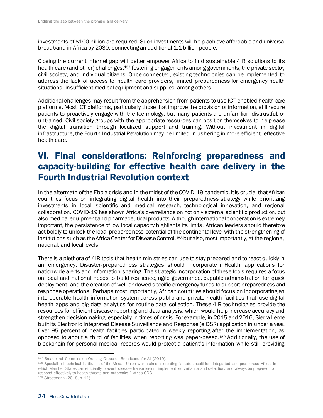investments of \$100 billion are required. Such investments will help achieve affordable and universal broadband in Africa by 2030, connecting an additional 1.1 billion people.

Closing the current internet gap will better empower Africa to find sustainable 4IR solutions to its health care (and other) challenges, 157 fostering engagements among governments, the private sector, civil society, and individual citizens. Once connected, existing technologies can be implemented to address the lack of access to health care providers, limited preparedness for emergency health situations, insufficient medical equipment and supplies, among others.

Additional challenges may result from the apprehension from patients to use ICT-enabled health care platforms. Most ICT platforms, particularly those that improve the provision of information, still require patients to proactively engage with the technology, but many patients are unfamiliar, distrustful, or untrained. Civil society groups with the appropriate resources can position themselves to help ease the digital transition through localized support and training. Without investment in digital infrastructure, the Fourth Industrial Revolution may be limited in ushering in more efficient, effective health care.

## <span id="page-28-0"></span>VI. Final considerations: Reinforcing preparedness and capacity-building for effective health care delivery in the Fourth Industrial Revolution context

In the aftermath of the Ebola crisis and in the midst of the COVID-19 pandemic, it is crucial that African countries focus on integrating digital health into their preparedness strategy while prioritizing investments in local scientific and medical research, technological innovation, and regional collaboration. COVID-19 has shown Africa's overreliance on not only external scientific production, but also medical equipment and pharmaceutical products. Although international cooperation is extremely important, the persistence of low local capacity highlights its limits. African leaders should therefore act boldly to unlock the local preparedness potential at the continental level with the strengthening of institutions such as the Africa Center for Disease Control, <sup>158</sup> but also, most importantly, at the regional, national, and local levels.

There is a plethora of 4IR tools that health ministries can use to stay prepared and to react quickly in an emergency. Disaster-preparedness strategies should incorporate mHealth applications for nationwide alerts and information sharing. The strategic incorporation of these tools requires a focus on local and national needs to build resilience, agile governance, capable administration for quick deployment, and the creation of well-endowed specific emergency funds to support preparedness and response operations. Perhaps most importantly, African countries should focus on incorporating an interoperable health information system across public and private health facilities that use digital health apps and big data analytics for routine data collection. These 4IR technologies provide the resources for efficient disease reporting and data analysis, which would help increase accuracy and strengthen decisionmaking, especially in times of crisis. For example, in 2015 and 2016, Sierra Leone built its Electronic Integrated Disease Surveillance and Response (eIDSR) application in under a year. Over 95 percent of health facilities participated in weekly reporting after the implementation, as opposed to about a third of facilities when reporting was paper-based.<sup>159</sup> Additionally, the use of blockchain for personal medical records would protect a patient's information while still providing

<sup>157</sup> Broadband Commission Working Group on Broadband for All (2019).

<sup>158</sup> Specialized technical institution of the African Union which aims at creating "a safer, healthier, integrated and prosperous Africa, in which Member States can efficiently prevent disease transmission, implement surveillance and detection, and always be prepared to respond effectively to health threats and outbreaks." Africa CDC.

<sup>159</sup> Stroetmann (2018, p. 11).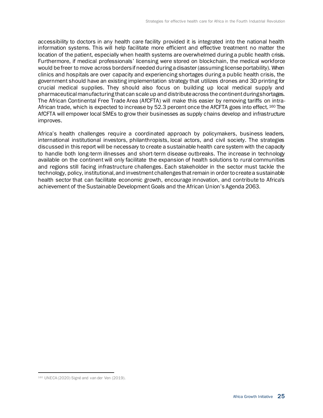accessibility to doctors in any health care facility provided it is integrated into the national health information systems. This will help facilitate more efficient and effective treatment no matter the location of the patient, especially when health systems are overwhelmed during a public health crisis. Furthermore, if medical professionals' licensing were stored on blockchain, the medical workforce would be freer to move across borders if needed during a disaster (assuming license portability). When clinics and hospitals are over capacity and experiencing shortages during a public health crisis, the government should have an existing implementation strategy that utilizes drones and 3D printing for crucial medical supplies. They should also focus on building up local medical supply and pharmaceutical manufacturing that can scale up and distribute across the continent during shortages. The African Continental Free Trade Area (AfCFTA) will make this easier by removing tariffs on intra-African trade, which is expected to increase by 52.3 percent once the AfCFTA goes into effect. 160 The AfCFTA will empower local SMEs to grow their businesses as supply chains develop and infrastructure improves.

Africa's health challenges require a coordinated approach by policymakers, business leaders, international institutional investors, philanthropists, local actors, and civil society. The strategies discussed in this report will be necessary to create a sustainable health care system with the capacity to handle both long-term illnesses and short-term disease outbreaks. The increase in technology available on the continent will only facilitate the expansion of health solutions to rural communities and regions still facing infrastructure challenges. Each stakeholder in the sector must tackle the technology, policy, institutional, and investment challenges that remain in order to create a sustainable health sector that can facilitate economic growth, encourage innovation, and contribute to Africa's achievement of the Sustainable Development Goals and the African Union's Agenda 2063.

<sup>160</sup> UNECA (2020) Signé and van der Ven (2019).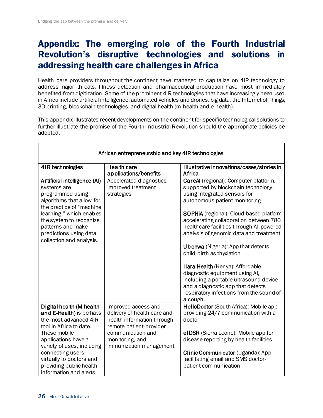## <span id="page-30-0"></span>Appendix: The emerging role of the Fourth Industrial Revolution's disruptive technologies and solutions in addressing health care challenges in Africa

Health care providers throughout the continent have managed to capitalize on 4IR technology to address major threats. Illness detection and pharmaceutical production have most immediately benefited from digitization. Some of the prominent 4IR technologies that have increasingly been used in Africa include artificial intelligence, automated vehicles and drones, big data, the Internet of Things, 3D printing, blockchain technologies, and digital health (m-health and e-health).

This appendix illustrates recent developments on the continent for specific technological solutions to further illustrate the promise of the Fourth Industrial Revolution should the appropriate policies be adopted.

| African entrepreneurship and key 4IR technologies                                                                                                                                                                                                                                   |                                                                                                                                                                                |                                                                                                                                                                                                                                                                                                                                                                                                                                                                                                                                                                                                    |  |
|-------------------------------------------------------------------------------------------------------------------------------------------------------------------------------------------------------------------------------------------------------------------------------------|--------------------------------------------------------------------------------------------------------------------------------------------------------------------------------|----------------------------------------------------------------------------------------------------------------------------------------------------------------------------------------------------------------------------------------------------------------------------------------------------------------------------------------------------------------------------------------------------------------------------------------------------------------------------------------------------------------------------------------------------------------------------------------------------|--|
| 4IR technologies                                                                                                                                                                                                                                                                    | <b>Health care</b><br>applications/benefits                                                                                                                                    | Illustrative innovations/cases/stories in<br>Africa                                                                                                                                                                                                                                                                                                                                                                                                                                                                                                                                                |  |
| Artificial intelligence (AI)<br>systems are<br>programmed using<br>algorithms that allow for<br>the practice of "machine<br>learning," which enables<br>the system to recognize<br>patterns and make<br>predictions using data<br>collection and analysis.                          | Accelerated diagnostics;<br>improved treatment<br>strategies                                                                                                                   | CareAI (regional): Computer platform,<br>supported by blockchain technology,<br>using integrated sensors for<br>autonomous patient monitoring<br>SOPHiA (regional): Cloud based platform<br>accelerating collaboration between 780<br>healthcare facilities through AI-powered<br>analysis of genomic data and treatment<br><b>Ubenwa</b> (Nigeria): App that detects<br>child-birth asphyxiation<br>Ilara Health (Kenya): Affordable<br>diagnostic equipment using AI,<br>including a portable ultrasound device<br>and a diagnostic app that detects<br>respiratory infections from the sound of |  |
| Digital health (M-health<br>and E-Health) is perhaps<br>the most advanced 4IR<br>tool in Africa to date.<br>These mobile<br>applications have a<br>variety of uses, including<br>connecting users<br>virtually to doctors and<br>providing public health<br>information and alerts, | Improved access and<br>delivery of health care and<br>health information through<br>remote patient-provider<br>communication and<br>monitoring, and<br>immunization management | a cough.<br>HelloDoctor (South Africa): Mobile app<br>providing 24/7 communication with a<br>doctor<br>el DSR (Sierra Leone): Mobile app for<br>disease reporting by health facilities<br>Clinic Communicator (Uganda): App<br>facilitating email and SMS doctor-<br>patient communication                                                                                                                                                                                                                                                                                                         |  |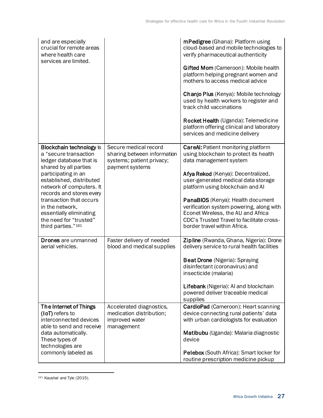| and are especially<br>crucial for remote areas<br>where health care<br>services are limited.                                                                                                                                                                                                                                              |                                                                                                                 | mPedigree (Ghana): Platform using<br>cloud-based and mobile technologies to<br>verify pharmaceutical authenticity<br>Gifted Mom (Cameroon): Mobile health<br>platform helping pregnant women and<br>mothers to access medical advice<br>Chanjo Plus (Kenya): Mobile technology<br>used by health workers to register and<br>track child vaccinations<br>Rocket Health (Uganda): Telemedicine<br>platform offering clinical and laboratory<br>services and medicine delivery |
|-------------------------------------------------------------------------------------------------------------------------------------------------------------------------------------------------------------------------------------------------------------------------------------------------------------------------------------------|-----------------------------------------------------------------------------------------------------------------|-----------------------------------------------------------------------------------------------------------------------------------------------------------------------------------------------------------------------------------------------------------------------------------------------------------------------------------------------------------------------------------------------------------------------------------------------------------------------------|
| Blockchain technology is<br>a "secure transaction<br>ledger database that is<br>shared by all parties<br>participating in an<br>established, distributed<br>network of computers. It<br>records and stores every<br>transaction that occurs<br>in the network,<br>essentially eliminating<br>the need for "trusted"<br>third parties."161 | Secure medical record<br>sharing between information<br>systems; patient privacy;<br>payment systems            | <b>CareAI: Patient monitoring platform</b><br>using blockchain to protect its health<br>data management system<br>Afya Rekod (Kenya): Decentralized,<br>user-generated medical data storage<br>platform using blockchain and Al<br>PanaBIOS (Kenya): Health document<br>verification system powering, along with<br>Econet Wireless, the AU and Africa<br>CDC's Trusted Travel to facilitate cross-<br>border travel within Africa.                                         |
| <b>Drones</b> are unmanned<br>aerial vehicles.<br>The Internet of Things<br>(IoT) refers to                                                                                                                                                                                                                                               | Faster delivery of needed<br>blood and medical supplies<br>Accelerated diagnostics,<br>medication distribution; | Zipline (Rwanda, Ghana, Nigeria): Drone<br>delivery service to rural health facilities<br><b>Beat Drone</b> (Nigeria): Spraying<br>disinfectant (coronavirus) and<br>insecticide (malaria)<br>Lifebank (Nigeria): AI and blockchain<br>powered deliver traceable medical<br>supplies<br>CardioPad (Cameroon): Heart scanning<br>device connecting rural patients' data                                                                                                      |
| interconnected devices<br>able to send and receive<br>data automatically.<br>These types of<br>technologies are<br>commonly labeled as                                                                                                                                                                                                    | improved water<br>management                                                                                    | with urban cardiologists for evaluation<br>Matibubu (Uganda): Malaria diagnostic<br>device<br>Pelebox (South Africa): Smart locker for<br>routine prescription medicine pickup                                                                                                                                                                                                                                                                                              |

<sup>161</sup> Kaushal and Tyle (2015).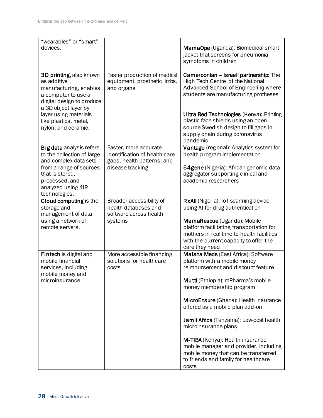| "wearables" or "smart"<br>devices.                                                                                                                                                                                    |                                                                                                          | MamaOpe (Uganda): Biomedical smart<br>jacket that screens for pneumonia<br>symptoms in children                                                                                                                                                                                                                                                                                                                                                                                                    |
|-----------------------------------------------------------------------------------------------------------------------------------------------------------------------------------------------------------------------|----------------------------------------------------------------------------------------------------------|----------------------------------------------------------------------------------------------------------------------------------------------------------------------------------------------------------------------------------------------------------------------------------------------------------------------------------------------------------------------------------------------------------------------------------------------------------------------------------------------------|
| 3D printing, also known<br>as additive<br>manufacturing, enables<br>a computer to use a<br>digital design to produce<br>a 3D object layer by<br>layer using materials<br>like plastics, metal,<br>nylon, and ceramic. | Faster production of medical<br>equipment, prosthetic limbs,<br>and organs                               | Cameroonian - Israeli partnership: The<br>High Tech Centre of the National<br>Advanced School of Engineering where<br>students are manufacturing protheses<br><b>Ultra Red Technologies (Kenya): Printing</b><br>plastic face shields using an open<br>source Swedish design to fill gaps in<br>supply chain during coronavirus<br>pandemic                                                                                                                                                        |
| Big data analysis refers<br>to the collection of large<br>and complex data sets<br>from a range of sources<br>that is stored,<br>processed, and<br>analyzed using 4IR<br>technologies.                                | Faster, more accurate<br>identification of health care<br>gaps, health patterns, and<br>disease tracking | Vantage (regional): Analytics system for<br>health program implementation<br>54gene (Nigeria): African genomic data<br>aggregator supporting clinical and<br>academic researchers                                                                                                                                                                                                                                                                                                                  |
| Cloud computing is the<br>storage and<br>management of data<br>using a network of<br>remote servers.                                                                                                                  | Broader accessibility of<br>health databases and<br>software across health<br>systems                    | RxAll (Nigeria): IoT scanning device<br>using AI for drug authentication<br>MamaRescue (Uganda): Mobile<br>platform facilitating transportation for<br>mothers in real time to health facilities<br>with the current capacity to offer the<br>care they need                                                                                                                                                                                                                                       |
| Fintech is digital and<br>mobile financial<br>services, including<br>mobile money and<br>microinsurance                                                                                                               | More accessible financing<br>solutions for healthcare<br>costs                                           | Maisha Meds (East Africa): Software<br>platform with a mobile money<br>reimbursement and discount feature<br>Mutti (Ethiopia): mPharma's mobile<br>money membership program<br>MicroEnsure (Ghana): Health insurance<br>offered as a mobile plan add-on<br>Jamii Africa (Tanzania): Low-cost health<br>microinsurance plans<br>M-TIBA (Kenya): Health insurance<br>mobile manager and provider, including<br>mobile money that can be transferred<br>to friends and family for healthcare<br>costs |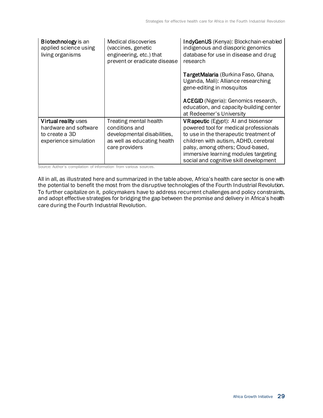| <b>Biotechnology</b> is an<br>applied science using<br>living organisms                  | Medical discoveries<br>(vaccines, genetic<br>engineering, etc.) that<br>prevent or eradicate disease                     | IndyGenUS (Kenya): Blockchain-enabled<br>indigenous and diasporic genomics<br>database for use in disease and drug<br>research                                                                                                                                                         |
|------------------------------------------------------------------------------------------|--------------------------------------------------------------------------------------------------------------------------|----------------------------------------------------------------------------------------------------------------------------------------------------------------------------------------------------------------------------------------------------------------------------------------|
|                                                                                          |                                                                                                                          | TargetMalaria (Burkina Faso, Ghana,<br>Uganda, Mali): Alliance researching<br>gene-editing in mosquitos                                                                                                                                                                                |
|                                                                                          |                                                                                                                          | <b>ACEGID</b> (Nigeria): Genomics research,<br>education, and capacity-building center<br>at Redeemer's University                                                                                                                                                                     |
| Virtual reality uses<br>hardware and software<br>to create a 3D<br>experience simulation | Treating mental health<br>conditions and<br>developmental disabilities,<br>as well as educating health<br>care providers | VRapeutic (Egypt): AI and biosensor<br>powered tool for medical professionals<br>to use in the therapeutic treatment of<br>children with autism, ADHD, cerebral<br>palsy, among others; Cloud-based,<br>immersive learning modules targeting<br>social and cognitive skill development |

<span id="page-33-0"></span>Source: Author's compilation of information from various sources.

All in all, as illustrated here and summarized in the table above, Africa's health care sector is one with the potential to benefit the most from the disruptive technologies of the Fourth Industrial Revolution. To further capitalize on it, policymakers have to address recurrent challenges and policy constraints, and adopt effective strategies for bridging the gap between the promise and delivery in Africa's health care during the Fourth Industrial Revolution.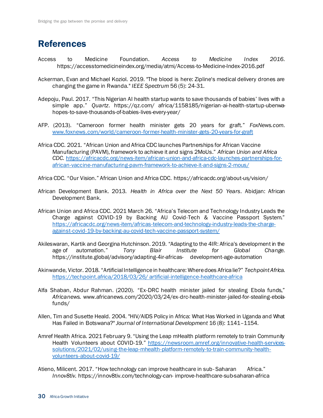## References

- Access to Medicine Foundation. *Access to Medicine Index 2016*. https://accesstomedicineindex.org/media/atmi/Access-to-Medicine-Index-2016.pdf
- Ackerman, Evan and Michael Koziol. 2019. "The blood is here: Zipline's medical delivery drones are changing the game in Rwanda." *IEEE Spectrum* 56 (5): 24-31.
- Adepoju, Paul. 2017. "This Nigerian AI health startup wants to save thousands of babies' lives with a simple app." *Quartz*. https://qz.com/ africa/1158185/nigerian-ai-health-startup-ubenwahopes-to-save-thousands-of-babies-lives-every-year/
- AFP. (2013). "Cameroon former health minister gets 20 years for graft." *FoxNews.com*. www.foxnews.com/world/cameroon-former-health-minister-gets-20-years-for-graft
- Africa CDC. 2021. "African Union and Africa CDC launches Partnerships for African Vaccine Manufacturing (PAVM), framework to achieve it and signs 2MoUs." *African Union and Africa CDC.* [https://africacdc.org/news-item/african-union-and-africa-cdc-launches-partnerships-for](https://africacdc.org/news-item/african-union-and-africa-cdc-launches-partnerships-for-african-vaccine-manufacturing-pavm-framework-to-achieve-it-and-signs-2-mous/)[african-vaccine-manufacturing-pavm-framework-to-achieve-it-and-signs-2-mous/](https://africacdc.org/news-item/african-union-and-africa-cdc-launches-partnerships-for-african-vaccine-manufacturing-pavm-framework-to-achieve-it-and-signs-2-mous/)
- Africa CDC. "Our Vision." African Union and Africa CDC. https://africacdc.org/about-us/vision/
- African Development Bank. 2013. *Health in Africa over the Next 50 Years*. Abidjan: African Development Bank.
- African Union and Africa CDC. 2021 March 26. "Africa's Telecom and Technology Industry Leads the Charge against COVID-19 by Backing AU Covid-Tech & Vaccine Passport System." [https://africacdc.org/news-item/africas-telecom-and-technology-industry-leads-the-charge](https://africacdc.org/news-item/africas-telecom-and-technology-industry-leads-the-charge-against-covid-19-by-backing-au-covid-tech-vaccine-passport-system/)[against-covid-19-by-backing-au-covid-tech-vaccine-passport-system/](https://africacdc.org/news-item/africas-telecom-and-technology-industry-leads-the-charge-against-covid-19-by-backing-au-covid-tech-vaccine-passport-system/)
- Akileswaran, Kartik and Georgina Hutchinson. 2019. "Adapting to the 4IR: Africa's development in the age of automation." *Tony Blair Institute for Global Change*. https://institute.global/advisory/adapting-4ir-africas- development-age-automation
- Akinwande, Victor. 2018. "Artificial Intelligence in healthcare: Where does Africa lie?" *Techpoint Africa.* https://techpoint.africa/2018/03/26/ artificial-intelligence-healthcare-africa
- Alfa Shaban, Abdur Rahman. (2020). "Ex-DRC health minister jailed for stealing Ebola funds," *Africanews.* www.africanews.com/2020/03/24/ex-drc-health-minister-jailed-for-stealing-ebolafunds/
- Allen, Tim and Susette Heald. 2004. "HIV/AIDS Policy in Africa: What Has Worked in Uganda and What Has Failed in Botswana?" *Journal of International Development* 16 (8): 1141–1154.
- Amref Health Africa. 2021 February 9. "Using the Leap mHealth platform remotely to train Community Health Volunteers about COVID-19." [https://newsroom.amref.org/innovative-health-services](https://newsroom.amref.org/innovative-health-services-solutions/2021/02/using-the-leap-mhealth-platform-remotely-to-train-community-health-volunteers-about-covid-19/)[solutions/2021/02/using-the-leap-mhealth-platform-remotely-to-train-community-health](https://newsroom.amref.org/innovative-health-services-solutions/2021/02/using-the-leap-mhealth-platform-remotely-to-train-community-health-volunteers-about-covid-19/)[volunteers-about-covid-19/](https://newsroom.amref.org/innovative-health-services-solutions/2021/02/using-the-leap-mhealth-platform-remotely-to-train-community-health-volunteers-about-covid-19/)
- Atieno, Milicent. 2017. "How technology can improve healthcare in sub-Saharan Africa." *Innov8tiv.* https://innov8tiv.com/technology-can- improve-healthcare-sub-saharan-africa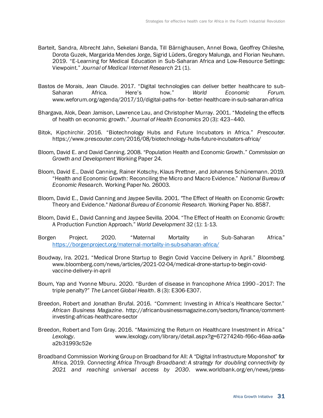- Barteit, Sandra, Albrecht Jahn, Sekelani Banda, Till Bärnighausen, Annel Bowa, Geoffrey Chileshe, Dorota Guzek, Margarida Mendes Jorge, Sigrid Lüders, Gregory Malunga, and Florian Neuhann. 2019. "E-Learning for Medical Education in Sub-Saharan Africa and Low-Resource Settings: Viewpoint." *Journal of Medical Internet Research* 21 (1).
- Bastos de Morais, Jean Claude. 2017. "Digital technologies can deliver better healthcare to sub-Saharan Africa. Here's how." *World Economic Forum*. www.weforum.org/agenda/2017/10/digital-paths-for- better-healthcare-in-sub-saharan-africa
- Bhargava, Alok, Dean Jamison, Lawrence Lau, and Christopher Murray. 2001. "Modeling the effects of health on economic growth." *Journal of Health Economics* 20 (3): 423–440.
- Bitok, Kipchirchir. 2016. "Biotechnology Hubs and Future Incubators in Africa." *Prescouter*. https://www.prescouter.com/2016/08/biotechnology-hubs-future-incubators-africa/
- Bloom, David E. and David Canning. 2008. "Population Health and Economic Growth." *Commission on Growth and Development* Working Paper 24.
- Bloom, David E., David Canning, Rainer Kotschy, Klaus Prettner, and Johannes Schünemann. 2019. "Health and Economic Growth: Reconciling the Micro and Macro Evidence." *National Bureau of Economic Research.* Working Paper No. 26003.
- Bloom, David E., David Canning and Jaypee Sevilla. 2001. "The Effect of Health on Economic Growth: Theory and Evidence." *National Bureau of Economic Research.* Working Paper No. 8587.
- Bloom, David E., David Canning and Jaypee Sevilla. 2004. "The Effect of Health on Economic Growth: A Production Function Approach." *World Development* 32 (1): 1-13.
- Borgen Project. 2020. "Maternal Mortality in Sub-Saharan Africa." <https://borgenproject.org/maternal-mortality-in-sub-saharan-africa/>
- Boudway, Ira. 2021. "Medical Drone Startup to Begin Covid Vaccine Delivery in April." *Bloomberg*. www.bloomberg.com/news/articles/2021-02-04/medical-drone-startup-to-begin-covidvaccine-delivery-in-april
- Boum, Yap and Yvonne Mburu. 2020. "Burden of disease in francophone Africa 1990–2017: The triple penalty?" *The Lancet Global Health*. 8 (3): E306-E307.
- Breedon, Robert and Jonathan Brufal. 2016. "Comment: Investing in Africa's Healthcare Sector." *African Business Magazine*. http://africanbusinessmagazine.com/sectors/finance/commentinvesting-africas-healthcare-sector
- Breedon, Robert and Tom Gray. 2016. "Maximizing the Return on Healthcare Investment in Africa." *Lexology*. www.lexology.com/library/detail.aspx?g=6727424b-f66c-46aa-aa6aa2b31993c52e
- Broadband Commission Working Group on Broadband for All: A "Digital Infrastructure Moponshot" for Africa. 2019. *Connecting Africa Through Broadband: A strategy for doubling connectivity by 2021 and reaching universal access by 2030*. www.worldbank.org/en/news/press-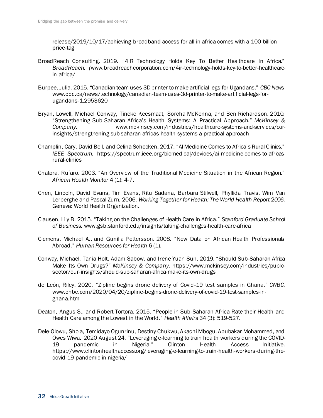release/2019/10/17/achieving-broadband-access-for-all-in-africa-comes-with-a-100-billionprice-tag

- BroadReach Consulting. 2019. "4IR Technology Holds Key To Better Healthcare In Africa." *BroadReach. (*www.broadreachcorporation.com/4ir-technology-holds-key-to-better-healthcarein-africa/
- Burpee, Julia. 2015. "Canadian team uses 3D printer to make artificial legs for Ugandans." *CBC News.*  www.cbc.ca/news/technology/canadian-team-uses-3d-printer-to-make-artificial-legs-forugandans-1.2953620
- Bryan, Lowell, Michael Conway, Tineke Keesmaat, Sorcha McKenna, and Ben Richardson. 2010. "Strengthening Sub-Saharan Africa's Health Systems: A Practical Approach." *McKinsey & Company.* www.mckinsey.com/industries/healthcare-systems-and-services/ourinsights/strengthening-sub-saharan-africas-health-systems-a-practical-approach
- Champlin, Cary, David Bell, and Celina Schocken. 2017. "AI Medicine Comes to Africa's Rural Clinics." *IEEE Spectrum.* https://spectrum.ieee.org/biomedical/devices/ai-medicine-comes-to-africasrural-clinics
- Chatora, Rufaro. 2003. "An Overview of the Traditional Medicine Situation in the African Region." *African Health Monitor* 4 (1): 4-7.
- Chen, Lincoln, David Evans, Tim Evans, Ritu Sadana, Barbara Stilwell, Phyllida Travis, Wim Van Lerberghe and Pascal Zurn. 2006. *Working Together for Health: The World Health Report 2006*. Geneva: World Health Organization.
- Clausen, Lily B. 2015. "Taking on the Challenges of Health Care in Africa." *Stanford Graduate School of Business.* www.gsb.stanford.edu/insights/taking-challenges-health-care-africa
- Clemens, Michael A., and Gunilla Pettersson. 2008. "New Data on African Health Professionals Abroad." *Human Resources for Health* 6 (1).
- Conway, Michael, Tania Holt, Adam Sabow, and Irene Yuan Sun. 2019. "Should Sub-Saharan Africa Make Its Own Drugs?" *McKinsey & Company*. https://www.mckinsey.com/industries/publicsector/our-insights/should-sub-saharan-africa-make-its-own-drugs
- de León, Riley. 2020. "Zipline begins drone delivery of Covid-19 test samples in Ghana." *CNBC*. www.cnbc.com/2020/04/20/zipline-begins-drone-delivery-of-covid-19-test-samples-inghana.html
- Deaton, Angus S., and Robert Tortora. 2015. "People in Sub-Saharan Africa Rate their Health and Health Care among the Lowest in the World." *Health Affairs* 34 (3): 519-527.
- Dele-Olowu, Shola, Temidayo Ogunrinu, Destiny Chukwu, Akachi Mbogu, Abubakar Mohammed, and Owes Wiwa. 2020 August 24. "Leveraging e-learning to train health workers during the COVID-19 pandemic in Nigeria." Clinton Health Access Initiative. https://www.clintonhealthaccess.org/leveraging-e-learning-to-train-health-workers-during-thecovid-19-pandemic-in-nigeria/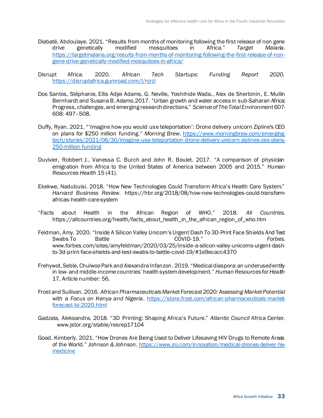- Diabaté, Abdoulaye. 2021. "Results from months of monitoring following the first release of non gene drive genetically modified mosquitoes in Africa." *Target Malaria*. [https://targetmalaria.org/results-from-months-of-monitoring-following-the-first-release-of-non](https://targetmalaria.org/results-from-months-of-monitoring-following-the-first-release-of-non-gene-drive-genetically-modified-mosquitoes-in-africa/)[gene-drive-genetically-modified-mosquitoes-in-africa/](https://targetmalaria.org/results-from-months-of-monitoring-following-the-first-release-of-non-gene-drive-genetically-modified-mosquitoes-in-africa/)
- Disrupt Africa. 2020. *African Tech Startups: Funding Report 2020.* <https://disruptafrica.gumroad.com/l/njrzl>
- Dos Santos, Stéphanie, Ellis Adjei Adams, G. Neville, Yoshihide Wada., Alex de Sherbinin, E. Mullin Bernhardt and Susana B. Adamo.2017. "Urban growth and water access in sub-Saharan Africa: Progress, challenges, and emerging research directions." *Science of The Total Environment* 607- 608: 497–508.
- Duffy, Ryan. 2021. "'Imagine how you would use teleportation': Drone delivery unicorn Zipline's CEO on plans for \$250 million funding." *Morning Brew*[. https://www.morningbrew.com/emerging](https://www.morningbrew.com/emerging-tech/stories/2021/06/30/imagine-use-teleportation-drone-delivery-unicorn-ziplines-ceo-plans-250-million-funding)[tech/stories/2021/06/30/imagine-use-teleportation-drone-delivery-unicorn-ziplines-ceo-plans-](https://www.morningbrew.com/emerging-tech/stories/2021/06/30/imagine-use-teleportation-drone-delivery-unicorn-ziplines-ceo-plans-250-million-funding)[250-million-funding](https://www.morningbrew.com/emerging-tech/stories/2021/06/30/imagine-use-teleportation-drone-delivery-unicorn-ziplines-ceo-plans-250-million-funding)
- Duvivier, Robbert J., Vanessa C. Burch and John R. Boulet. 2017. "A comparison of physician emigration from Africa to the United States of America between 2005 and 2015." *Human Resources Health* 15 (41).
- Ekekwe, Nadubuisi. 2018. "How New Technologies Could Transform Africa's Health Care System." *Harvard Business Review*. https://hbr.org/2018/08/how-new-technologies-could-transformafricas-health-care-system
- "Facts about Health in the African Region of WHO." 2018. *All Countries*. https://allcountries.org/health/facts\_about\_health\_in\_the\_african\_region\_of\_who.htm
- Feldman, Amy. 2020. "Inside A Silicon Valley Unicorn's Urgent Dash To 3D-Print Face Shields And Test Swabs To Battle COVID-19." *Forbes*. www.forbes.com/sites/amyfeldman/2020/03/25/inside-a-silicon-valley-unicorns-urgent-dashto-3d-print-face-shields-and-test-swabs-to-battle-covid-19/#1e9ecacc4370
- Frehywot, Seble, Chulwoo Park and Alexandra Infanzon. 2019. "Medical diaspora: an underused entity in low- and middle-income countries' health system development." *Human Resources for Health* 17, Article number: 56.
- Frost and Sullivan. 2016. *African Pharmaceuticals Market Forecast 2020: Assessing Market Potential with a Focus on Kenya and Nigeria*. https://store.frost.com/african-pharmaceuticals-marketforecast-to-2020.html
- Gadzala, Aleksandra. 2018. "3D Printing: Shaping Africa's Future." *Atlantic Council* Africa Center. www.jstor.org/stable/resrep17104
- Goad, Kimberly. 2021. "How Drones Are Being Used to Deliver Lifesaving HIV Drugs to Remote Areas of the World." *Johnson & Johnson*. [https://www.jnj.com/innovation/medical-drones-deliver-hiv](https://www.jnj.com/innovation/medical-drones-deliver-hiv-medicine)[medicine](https://www.jnj.com/innovation/medical-drones-deliver-hiv-medicine)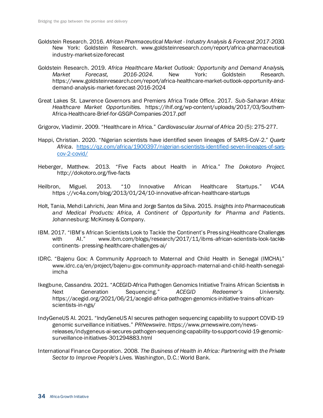- Goldstein Research. 2016. *African Pharmaceutical Market - Industry Analysis & Forecast 2017-2030.* New York: Goldstein Research. www.goldsteinresearch.com/report/africa-pharmaceuticalindustry-market-size-forecast
- Goldstein Research. 2019. *Africa Healthcare Market Outlook: Opportunity and Demand Analysis, Market Forecast, 2016-2024.* New York: Goldstein Research. https://www.goldsteinresearch.com/report/africa-healthcare-market-outlook-opportunity-anddemand-analysis-market-forecast-2016-2024
- Great Lakes St. Lawrence Governors and Premiers Africa Trade Office. 2017. *Sub-Saharan Africa: Healthcare Market Opportunities.* https://ihif.org/wp-content/uploads/2017/03/Southern-Africa-Healthcare-Brief-for-GSGP-Companies-2017.pdf
- Grigorov, Vladimir. 2009. "Healthcare in Africa." *Cardiovascular Journal of Africa* 20 (5): 275-277.
- Happi, Christian. 2020. "Nigerian scientists have identified seven lineages of SARS-CoV-2." *Quartz Africa.* [https://qz.com/africa/1900397/nigerian-scientists-identified-seven-lineages-of-sars](https://qz.com/africa/1900397/nigerian-scientists-identified-seven-lineages-of-sars-cov-2-covid/)[cov-2-covid/](https://qz.com/africa/1900397/nigerian-scientists-identified-seven-lineages-of-sars-cov-2-covid/)
- Heberger, Matthew. 2013. "Five Facts about Health in Africa." *The Dokotoro Project*. http://dokotoro.org/five-facts
- Heilbron, Miguel. 2013. "10 Innovative African Healthcare Startups." *VC4A.*  https ://vc4a.com/blog/2013/01/24/10-innovative-african-healthcare-startups
- Holt, Tania, Mehdi Lahrichi, Jean Mina and Jorge Santos da Silva. 2015. *Insights into Pharmaceuticals and Medical Products: Africa, A Continent of Opportunity for Pharma and Patients*. Johannesburg: McKinsey & Company.
- IBM. 2017. "IBM's African Scientists Look to Tackle the Continent's Pressing Healthcare Challenges with AI." www.ibm.com/blogs/research/2017/11/ibms-african-scientists-look-tacklecontinents- pressing-healthcare-challenges-ai/
- IDRC. "Bajenu Gox: A Community Approach to Maternal and Child Health in Senegal (IMCHA)." www.idrc.ca/en/project/bajenu-gox-community-approach-maternal-and-child-health-senegalimcha
- Ikegbune, Cassandra. 2021. "ACEGID-Africa Pathogen Genomics Initiative Trains African Scientists in Next Generation Sequencing." *ACEGID Redeemer's University.*  https://acegid.org/2021/06/21/acegid-africa-pathogen-genomics-initiative-trains-africanscientists-in-ngs/
- IndyGeneUS AI. 2021. "IndyGeneUS AI secures pathogen sequencing capability to support COVID-19 genomic surveillance initiatives." *PRNewswire*. https://www.prnewswire.com/newsreleases/indygeneus-ai-secures-pathogen-sequencing-capability-to-support-covid-19-genomicsurveillance-initiatives-301294883.html
- International Finance Corporation. 2008. *The Business of Health in Africa: Partnering with the Private Sector to Improve People's Lives.* Washington, D.C.: World Bank.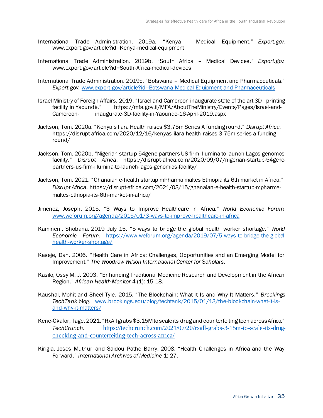- International Trade Administration. 2019a. "Kenya Medical Equipment." *Export.gov*. www.export.gov/article?id=Kenya-medical-equipment
- International Trade Administration. 2019b. "South Africa Medical Devices." *Export.gov.* www.export.gov/article?id=South-Africa-medical-devices
- International Trade Administration. 2019c. "Botswana Medical Equipment and Pharmaceuticals." *Export.gov.* [www.export.gov/article?id=Botswana-Medical-Equipment-and-Pharmaceuticals](http://www.export.gov/article?id=Botswana-Medical-Equipment-and-Pharmaceuticals)
- Israel Ministry of Foreign Affairs. 2019. "Israel and Cameroon inaugurate state of the art 3D printing https://mfa.gov.il/MFA/AboutTheMinistry/Events/Pages/Israel-and-Cameroon- inaugurate-3D-facility-in-Yaounde-16-April-2019.aspx
- Jackson, Tom. 2020a. "Kenya's Ilara Health raises \$3.75m Series A funding round." *Disrupt Africa.*  https://disrupt-africa.com/2020/12/16/kenyas-ilara-health-raises-3-75m-series-a-fundinground/
- Jackson, Tom. 2020b. "Nigerian startup 54gene partners US firm Illumina to launch Lagos genomics facility." *Disrupt Africa.* https://disrupt-africa.com/2020/09/07/nigerian-startup-54genepartners-us-firm-illumina-to-launch-lagos-genomics-facility/
- Jackson, Tom. 2021. "Ghanaian e-health startup mPharma makes Ethiopia its 6th market in Africa." *Disrupt Africa.* https://disrupt-africa.com/2021/03/15/ghanaian-e-health-startup-mpharmamakes-ethiopia-its-6th-market-in-africa/
- Jimenez, Joseph. 2015. "3 Ways to Improve Healthcare in Africa." *World Economic Forum.* www.weforum.org/agenda/2015/01/3-ways-to-improve-healthcare-in-africa
- Kamineni, Shobana. 2019 July 15. "5 ways to bridge the global health worker shortage." *World Economic Forum.* [https://www.weforum.org/agenda/2019/07/5-ways-to-bridge-the-global](https://www.weforum.org/agenda/2019/07/5-ways-to-bridge-the-global-health-worker-shortage/)[health-worker-shortage/](https://www.weforum.org/agenda/2019/07/5-ways-to-bridge-the-global-health-worker-shortage/)
- Kaseje, Dan. 2006. "Health Care in Africa: Challenges, Opportunities and an Emerging Model for Improvement." *The Woodrow Wilson International Center for Scholars*.
- Kasilo, Ossy M. J. 2003. "Enhancing Traditional Medicine Research and Development in the African Region." *African Health Monitor* 4 (1): 15-18.
- Kaushal, Mohit and Sheel Tyle. 2015. "The Blockchain: What It Is and Why It Matters." *Brookings TechTank* blog. [www.brookings.edu/blog/techtank/2015/01/13/the-blockchain-what-it-is](http://www.brookings.edu/blog/techtank/2015/01/13/the-blockchain-what-it-is-and-why-it-matters/)[and-why-it-matters/](http://www.brookings.edu/blog/techtank/2015/01/13/the-blockchain-what-it-is-and-why-it-matters/)
- Kene-Okafor, Tage. 2021. "RxAll grabs \$3.15M to scale its drug and counterfeiting tech across Africa." *TechCrunch.* [https://techcrunch.com/2021/07/20/rxall-grabs-3-15m-to-scale-its-drug](https://techcrunch.com/2021/07/20/rxall-grabs-3-15m-to-scale-its-drug-checking-and-counterfeiting-tech-across-africa/)[checking-and-counterfeiting-tech-across-africa/](https://techcrunch.com/2021/07/20/rxall-grabs-3-15m-to-scale-its-drug-checking-and-counterfeiting-tech-across-africa/)
- Kirigia, Joses Muthuri and Saidou Pathe Barry. 2008. "Health Challenges in Africa and the Way Forward." *International Archives of Medicine* 1: 27.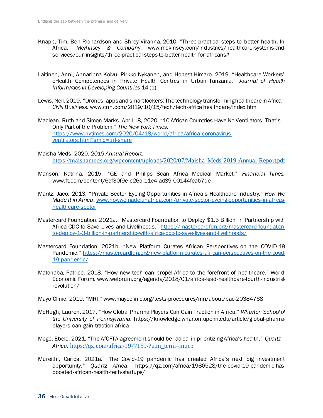- Knapp, Tim, Ben Richardson and Shrey Viranna. 2010. "Three practical steps to better health. In Africa." *McKinsey & Company.* www.mckinsey.com/industries/healthcare-systems-andservices/our-insights/three-practical-steps-to-better-health-for-africans#
- Laitinen, Anni, Annarinna Koivu, Pirkko Nykanen, and Honest Kimaro. 2019. "Healthcare Workers' eHealth Competences in Private Health Centres in Urban Tanzania." *Journal of Health Informatics in Developing Countries* 14 (1).
- Lewis, Nell. 2019. "Drones, apps and smart lockers: The technology transforming healthcare in Africa." *CNN Business*. www.cnn.com/2019/10/15/tech/tech-africa healthcare/index.html
- Maclean, Ruth and Simon Marks. April 18, 2020. "10 African Countries Have No Ventilators. That's Only Part of the Problem." *The New York Times*. [https://www.nytimes.com/2020/04/18/world/africa/africa-coronavirus](https://www.nytimes.com/2020/04/18/world/africa/africa-coronavirus-ventilators.html?smid=url-share)[ventilators.html?smid=url-share](https://www.nytimes.com/2020/04/18/world/africa/africa-coronavirus-ventilators.html?smid=url-share)
- Maisha Meds. 2020. *2019 Annual Report.*  <https://maishameds.org/wpcontent/uploads/2020/07/Maisha-Meds-2019-Annual-Report.pdf>
- Manson, Katrina. 2015. "GE and Philips Scan Africa Medical Market." *Financial Times.*  www.ft.com/content/6cf30f9e-c26c-11e4-ad89-00144feab7de
- Maritz, Jaco. 2013. "Private Sector Eyeing Opportunities in Africa's Healthcare Industry." *How We Made It in Africa*[. www.howwemadeitinafrica.com/private-sector-eyeing-opportunities-in-africas](http://www.howwemadeitinafrica.com/private-sector-eyeing-opportunities-in-africas-healthcare-sector)[healthcare-sector](http://www.howwemadeitinafrica.com/private-sector-eyeing-opportunities-in-africas-healthcare-sector)
- Mastercard Foundation. 2021a. "Mastercard Foundation to Deploy \$1.3 Billion in Partnership with Africa CDC to Save Lives and Livelihoods." [https://mastercardfdn.org/mastercard-foundation](https://mastercardfdn.org/mastercard-foundation-to-deploy-1-3-billion-in-partnership-with-africa-cdc-to-save-lives-and-livelihoods/)[to-deploy-1-3-billion-in-partnership-with-africa-cdc-to-save-lives-and-livelihoods/](https://mastercardfdn.org/mastercard-foundation-to-deploy-1-3-billion-in-partnership-with-africa-cdc-to-save-lives-and-livelihoods/)
- Mastercard Foundation. 2021b. "New Platform Curates African Perspectives on the COVID-19 Pandemic." [https://mastercardfdn.org/new-platform-curates-african-perspectives-on-the-covid-](https://mastercardfdn.org/new-platform-curates-african-perspectives-on-the-covid-19-pandemic/)[19-pandemic/](https://mastercardfdn.org/new-platform-curates-african-perspectives-on-the-covid-19-pandemic/)
- Matchaba, Patrice. 2018. "How new tech can propel Africa to the forefront of healthcare." World Economic Forum. www.weforum.org/agenda/2018/01/africa-lead-healthcare-fourth-industrialrevolution/

Mayo Clinic. 2019. "MRI." www.mayoclinic.org/tests-procedures/mri/about/pac-20384768

- McHugh, Lauren. 2017. "How Global Pharma Players Can Gain Traction in Africa." *Wharton School of the University of Pennsylvania.* https://knowledge.wharton.upenn.edu/article/global-pharmaplayers-can-gain-traction-africa
- Mogo, Ebele. 2021. "The AfCFTA agreement should be radical in prioritizing Africa's health." *Quartz Africa.* [https://qz.com/africa/1977159/?utm\\_term=mucp](https://qz.com/africa/1977159/?utm_term=mucp)
- Mureithi, Carlos. 2021a. "The Covid-19 pandemic has created Africa's next big investment opportunity." *Quartz Africa.* https://qz.com/africa/1986528/the-covid-19-pandemic-hasboosted-african-health-tech-startups/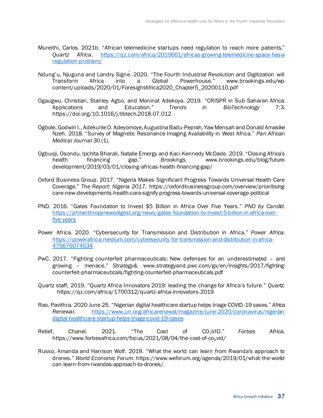- Mureithi, Carlos. 2021b. "African telemedicine startups need regulation to reach more patients." *Quartz Africa*. [https://qz.com/africa/2010661/africas-growing-telemedicine-space-has-a](https://qz.com/africa/2010661/africas-growing-telemedicine-space-has-a-regulation-problem/)[regulation-problem/](https://qz.com/africa/2010661/africas-growing-telemedicine-space-has-a-regulation-problem/)
- Ndung'u, Njuguna and Landry Signé. 2020. "The Fourth Industrial Revolution and Digitization will Transform Africa into a Global Powerhouse." www.brookings.edu/wpcontent/uploads/2020/01/ForesightAfrica2020\_Chapter5\_20200110.pdf
- Ogaugwu, Christian, Stanley Agbo, and Moninat Adekoya. 2019. "CRISPR in Sub-Saharan Africa: Applications and Education." *Trends in BioTechnology* 7:3. https://doi.org/10.1016/j.tibtech.2018.07.012
- Ogbole, Godwin I., Adekunle O. Adeyomoye, Augustina Badu-Peprah, Yaw Mensah and Donald Amasike Nzeh. 2018. "Survey of Magnetic Resonance Imaging Availability in West Africa." *Pan African Medical Journal* 30 (1).
- Ogbuoji, Osondu, Ipchita Bharali, Natalie Emergy and Kaci Kennedy McDade. 2019. "Closing Africa's health financing gap." *Brookings*. www.brookings.edu/blog/futuredevelopment/2019/03/01/closing-africas-health-financing-gap/
- Oxford Business Group. 2017. "Nigeria Makes Significant Progress Towards Universal Health Care Coverage." *The Report: Nigeria 2017.* https://oxfordbusinessgroup.com/overview/prioritisingcare-new-developments-health-care-signify-progress-towards-universal-coverage-political
- PND. 2016. "Gates Foundation to Invest \$5 Billion in Africa Over Five Years." *PND by Candid*. [https://philanthropynewsdigest.org/news/gates-foundation-to-invest-5-billion-in-africa-over](https://philanthropynewsdigest.org/news/gates-foundation-to-invest-5-billion-in-africa-over-five-years)[five-years](https://philanthropynewsdigest.org/news/gates-foundation-to-invest-5-billion-in-africa-over-five-years)
- Power Africa. 2020. "Cybersecurity for Transmission and Distribution in Africa." *Power Africa*. [https://powerafrica.medium.com/cybersecurity-for-transmission-and-distribution-in-africa-](https://powerafrica.medium.com/cybersecurity-for-transmission-and-distribution-in-africa-475676074534)[475676074534](https://powerafrica.medium.com/cybersecurity-for-transmission-and-distribution-in-africa-475676074534)
- PwC. 2017. "Fighting counterfeit pharmaceuticals: New defenses for an underestimated and growing – menace." *Strategy&.* www.strategyand.pwc.com/gx/en/insights/2017/fightingcounterfeit-pharmaceuticals/fighting-counterfeit-pharmaceuticals.pdf
- Quartz staff, 2019. "Quartz Africa Innovators 2019: leading the change for Africa's future." *Quartz.*  https://qz.com/africa/1700312/quartz-africa-innovators-2019
- Rao, Pavithra. 2020 June 25. "Nigerian digital healthcare startup helps triage COVID-19 cases." *Africa Renewal*. [https://www.un.org/africarenewal/magazine/june-2020/coronavirus/nigerian](https://www.un.org/africarenewal/magazine/june-2020/coronavirus/nigerian-digital-healthcare-startup-helps-triage-covid-19-cases)[digital-healthcare-startup-helps-triage-covid-19-cases](https://www.un.org/africarenewal/magazine/june-2020/coronavirus/nigerian-digital-healthcare-startup-helps-triage-covid-19-cases)
- Retief, Chanel. 2021. "The Cost of CO2VID." *Forbes Africa*. https://www.forbesafrica.com/focus/2021/08/04/the-cost-of-co<sub>2</sub>vid/
- Russo, Amanda and Harrison Wolf. 2019. "What the world can learn from Rwanda's approach to drones." *World Economic Forum.* https://www.weforum.org/agenda/2019/01/what-the-worldcan-learn-from-rwandas-approach-to-drones/.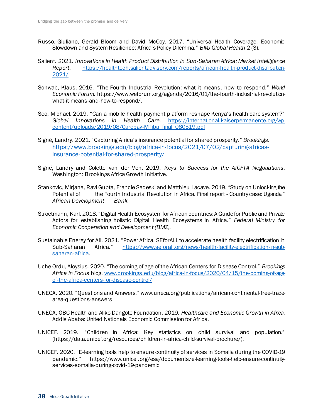- Russo, Giuliano, Gerald Bloom and David McCoy. 2017. "Universal Health Coverage, Economic Slowdown and System Resilience: Africa's Policy Dilemma." *BMJ Global Health* 2 (3).
- Salient. 2021. *Innovations in Health Product Distribution in Sub-Saharan Africa: Market Intelligence Report*. [https://healthtech.salientadvisory.com/reports/african-health-product-distribution-](https://healthtech.salientadvisory.com/reports/african-health-product-distribution-2021/)[2021/](https://healthtech.salientadvisory.com/reports/african-health-product-distribution-2021/)
- Schwab, Klaus. 2016. "The Fourth Industrial Revolution: what it means, how to respond." *World Economic Forum.* https://www.weforum.org/agenda/2016/01/the-fourth-industrial-revolutionwhat-it-means-and-how-to-respond/.
- Seo, Michael. 2019. "Can a mobile health payment platform reshape Kenya's health care system?" *Global Innovations in Health Care.* [https://international.kaiserpermanente.org/wp](https://international.kaiserpermanente.org/wp-content/uploads/2019/08/Carepay-MTiba_final_080519.pdf)[content/uploads/2019/08/Carepay-MTiba\\_final\\_080519.pdf](https://international.kaiserpermanente.org/wp-content/uploads/2019/08/Carepay-MTiba_final_080519.pdf)
- Signé, Landry. 2021. "Capturing Africa's insurance potential for shared prosperity." *Brookings.*  [https://www.brookings.edu/blog/africa-in-focus/2021/07/02/capturing-africas](https://www.brookings.edu/blog/africa-in-focus/2021/07/02/capturing-africas-insurance-potential-for-shared-prosperity/)[insurance-potential-for-shared-prosperity/](https://www.brookings.edu/blog/africa-in-focus/2021/07/02/capturing-africas-insurance-potential-for-shared-prosperity/)
- Signé, Landry and Colette van der Ven. 2019. *Keys to Success for the AfCFTA Negotiations*. Washington: Brookings Africa Growth Initiative.
- Stankovic, Mirjana, Ravi Gupta, Francie Sadeski and Matthieu Lacave. 2019. "Study on Unlocking the Potential of the Fourth Industrial Revolution in Africa. Final report - Country case: Uganda." *African Development Bank.*
- Stroetmann, Karl. 2018. "Digital Health Ecosystem for African countries: A Guide for Public and Private Actors for establishing holistic Digital Health Ecosystems in Africa." *Federal Ministry for Economic Cooperation and Development (BMZ).*
- Sustainable Energy for All. 2021. "Power Africa, SEforALL to accelerate health facility electrification in Sub-Saharan Africa." [https://www.seforall.org/news/health-facility-electrification-in-sub](https://www.seforall.org/news/health-facility-electrification-in-sub-saharan-africa)[saharan-africa](https://www.seforall.org/news/health-facility-electrification-in-sub-saharan-africa).
- Uche Ordu, Aloysius, 2020. "The coming of age of the African Centers for Disease Control." *Brookings Africa in Focus* blog. [www.brookings.edu/blog/africa-in-focus/2020/04/15/the-coming-of-age](http://www.brookings.edu/blog/africa-in-focus/2020/04/15/the-coming-of-age-of-the-africa-centers-for-disease-control/)[of-the-africa-centers-for-disease-control/](http://www.brookings.edu/blog/africa-in-focus/2020/04/15/the-coming-of-age-of-the-africa-centers-for-disease-control/)
- UNECA. 2020. "Questions and Answers." www.uneca.org/publications/african-continental-free-tradearea-questions-answers
- UNECA, GBC Health and Aliko Dangote Foundation. 2019. *Healthcare and Economic Growth in Africa.* Addis Ababa: United Nationals Economic Commission for Africa.
- UNICEF. 2019. "Children in Africa: Key statistics on child survival and population." (https://data.unicef.org/resources/children-in-africa-child-survival-brochure/).
- UNICEF. 2020. "E-learning tools help to ensure continuity of services in Somalia during the COVID-19 pandemic." https://www.unicef.org/esa/documents/e-learning-tools-help-ensure-continuityservices-somalia-during-covid-19-pandemic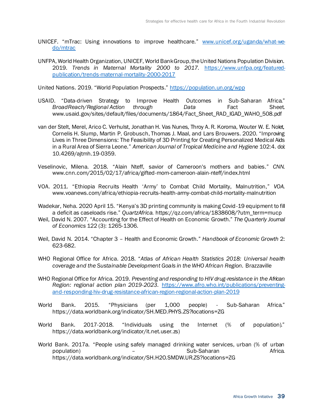- UNICEF. "mTrac: Using innovations to improve healthcare." [www.unicef.org/uganda/what-we](http://www.unicef.org/uganda/what-we-do/mtrac)[do/mtrac](http://www.unicef.org/uganda/what-we-do/mtrac)
- UNFPA, World Health Organization, UNICEF, World Bank Group, the United Nations Population Division. 2019. *Trends in Maternal Mortality 2000 to 2017.* [https://www.unfpa.org/featured](https://www.unfpa.org/featured-publication/trends-maternal-mortality-2000-2017)[publication/trends-maternal-mortality-2000-2017](https://www.unfpa.org/featured-publication/trends-maternal-mortality-2000-2017)

United Nations. 2019. "World Population Prospects." https://population.un.org/wpp

- USAID. "Data-driven Strategy to Improve Health Outcomes in Sub-Saharan Africa." *BroadReach/Regional Action through Data* Fact Sheet. www.usaid.gov/sites/default/files/documents/1864/Fact\_Sheet\_RAD\_IGAD\_WAHO\_508.pdf
- van der Stelt, Merel, Arico C. Verhulst, Jonathan H. Vas Nunes, Throy A. R. Koroma, Wouter W. E. Nolet, Cornelis H. Slump, Martin P. Grobusch, Thomas J. Maal, and Lars Brouwers. 2020. "Improving Lives in Three Dimensions: The Feasibility of 3D Printing for Creating Personalized Medical Aids in a Rural Area of Sierra Leone." *American Journal of Tropical Medicine and Hygiene* 102:4. doi: 10.4269/ajtmh.19-0359.
- Veselinovic, Milena. 2018. "Alain Nteff, savior of Cameroon's mothers and babies." *CNN*. www.cnn.com/2015/02/17/africa/gifted-mom-cameroon-alain-nteff/index.html
- VOA. 2011. "Ethiopia Recruits Health 'Army' to Combat Child Mortality, Malnutrition," *VOA*. www.voanews.com/africa/ethiopia-recruits-health-army-combat-child-mortality-malnutrition
- Wadekar, Neha. 2020 April 15. "Kenya's 3D printing community is making Covid-19 equipment to fill a deficit as caseloads rise." *QuartzAfrica.* https://qz.com/africa/1838608/?utm\_term=mucp
- Weil, David N. 2007. "Accounting for the Effect of Health on Economic Growth." *The Quarterly Journal of Economics* 122 (3): 1265-1306.
- Weil, David N. 2014. "Chapter 3 Health and Economic Growth." *Handbook of Economic Growth* 2: 623-682.
- WHO Regional Office for Africa. 2018. "*Atlas of African Health Statistics 2018: Universal health coverage and the Sustainable Development Goals in the WHO African Region.* Brazzaville
- WHO Regional Office for Africa. 2019. *Preventing and responding to HIV drug-resistance in the African Region: regional action plan 2019-2023*. [https://www.afro.who.int/publications/preventing](https://www.afro.who.int/publications/preventing-and-responding-hiv-drug-resistance-african-region-regional-action-plan-2019)[and-responding-hiv-drug-resistance-african-region-regional-action-plan-2019](https://www.afro.who.int/publications/preventing-and-responding-hiv-drug-resistance-african-region-regional-action-plan-2019)
- World Bank. 2015. "Physicians (per 1,000 people) Sub-Saharan Africa." https://data.worldbank.org/indicator/SH.MED.PHYS.ZS?locations=ZG
- World Bank. 2017-2018. "Individuals using the Internet (% of population)." https://data.worldbank.org/indicator/it.net.user.zs)
- World Bank. 2017a. "People using safely managed drinking water services, urban (% of urban population) – Sub-Saharan Africa. https://data.worldbank.org/indicator/SH.H2O.SMDW.UR.ZS?locations=ZG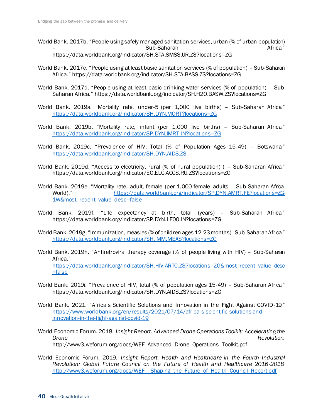- World Bank. 2017b. "People using safely managed sanitation services, urban (% of urban population) – Sub-Saharan Africa." https://data.worldbank.org/indicator/SH.STA.SMSS.UR.ZS?locations=ZG
- World Bank. 2017c. "People using at least basic sanitation services (% of population) Sub-Saharan Africa." https://data.worldbank.org/indicator/SH.STA.BASS.ZS?locations=ZG
- World Bank. 2017d. "People using at least basic drinking water services (% of population) Sub-Saharan Africa." https://data.worldbank.org/indicator/SH.H2O.BASW.ZS?locations=ZG
- World Bank. 2019a. "Mortality rate, under-5 (per 1,000 live births) Sub-Saharan Africa." <https://data.worldbank.org/indicator/SH.DYN.MORT?locations=ZG>
- World Bank. 2019b. "Mortality rate, infant (per 1,000 live births) Sub-Saharan Africa." <https://data.worldbank.org/indicator/SP.DYN.IMRT.IN?locations=ZG>
- World Bank. 2019c. "Prevalence of HIV, Total (% of Population Ages 15-49) Botswana." <https://data.worldbank.org/indicator/SH.DYN.AIDS.ZS>
- World Bank. 2019d. "Access to electricity, rural (% of rural population)) Sub-Saharan Africa." https://data.worldbank.org/indicator/EG.ELC.ACCS.RU.ZS?locations=ZG
- World Bank. 2019e. "Mortality rate, adult, female (per 1,000 female adults Sub-Saharan Africa, World)." [https://data.worldbank.org/indicator/SP.DYN.AMRT.FE?locations=ZG-](https://data.worldbank.org/indicator/SP.DYN.AMRT.FE?locations=ZG-1W&most_recent_value_desc=false)[1W&most\\_recent\\_value\\_desc=false](https://data.worldbank.org/indicator/SP.DYN.AMRT.FE?locations=ZG-1W&most_recent_value_desc=false)
- World Bank. 2019f. "Life expectancy at birth, total (years) Sub-Saharan Africa." https://data.worldbank.org/indicator/SP.DYN.LE00.IN?locations=ZG
- World Bank. 2019g. "Immunization, measles (% of children ages 12-23 months) Sub-Saharan Africa." <https://data.worldbank.org/indicator/SH.IMM.MEAS?locations=ZG>
- World Bank. 2019h. "Antiretroviral therapy coverage (% of people living with HIV) Sub-Saharan Africa." [https://data.worldbank.org/indicator/SH.HIV.ARTC.ZS?locations=ZG&most\\_recent\\_value\\_desc](https://data.worldbank.org/indicator/SH.HIV.ARTC.ZS?locations=ZG&most_recent_value_desc=false) [=false](https://data.worldbank.org/indicator/SH.HIV.ARTC.ZS?locations=ZG&most_recent_value_desc=false)
- World Bank. 2019i. "Prevalence of HIV, total (% of population ages 15-49) Sub-Saharan Africa." https://data.worldbank.org/indicator/SH.DYN.AIDS.ZS?locations=ZG
- World Bank. 2021. "Africa's Scientific Solutions and Innovation in the Fight Against COVID-19." [https://www.worldbank.org/en/results/2021/07/14/africa-s-scientific-solutions-and](https://www.worldbank.org/en/results/2021/07/14/africa-s-scientific-solutions-and-innovation-in-the-fight-against-covid-19)[innovation-in-the-fight-against-covid-19](https://www.worldbank.org/en/results/2021/07/14/africa-s-scientific-solutions-and-innovation-in-the-fight-against-covid-19)
- World Economic Forum. 2018. *Insight Report. Advanced Drone Operations Toolkit: Accelerating the*  **Drone** Revolution. http://www3.weforum.org/docs/WEF\_Advanced\_Drone\_Operations\_Toolkit.pdf
- World Economic Forum. 2019. *Insight Report. Health and Healthcare in the Fourth Industrial Revolution: Global Future Council on the Future of Health and Healthcare 2016-2018.*  http://www3.weforum.org/docs/WEF\_Shaping\_the\_Future\_of\_Health\_Council\_Report.pdf